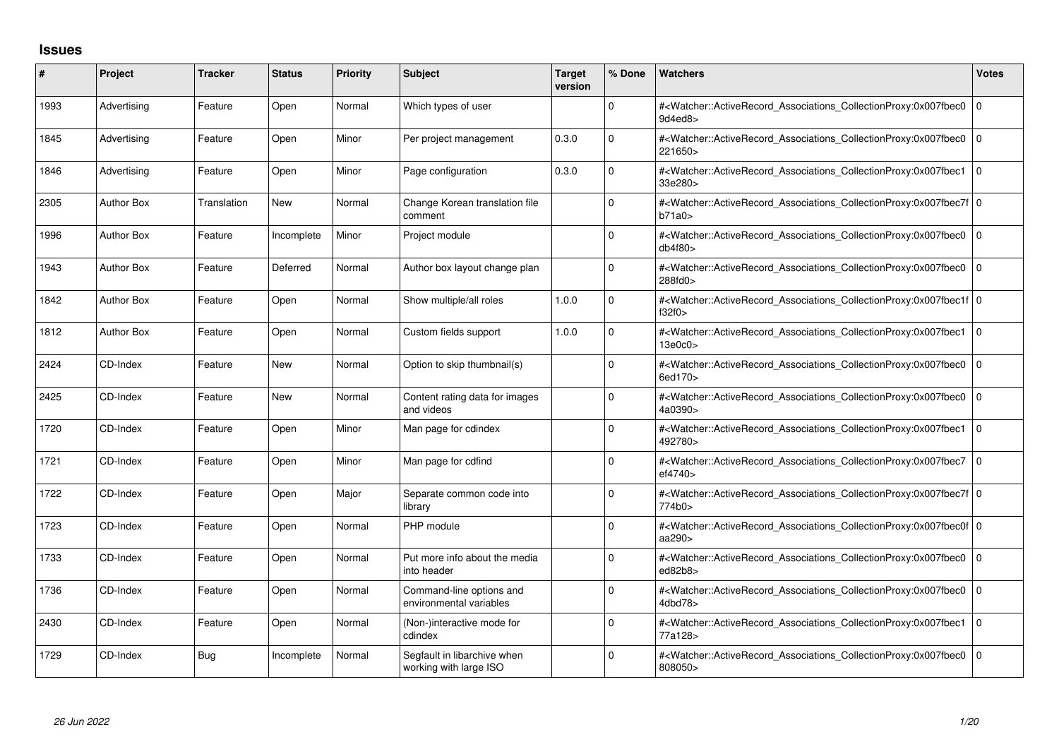## **Issues**

| ∦    | Project           | <b>Tracker</b> | <b>Status</b> | <b>Priority</b> | <b>Subject</b>                                        | <b>Target</b><br>version | % Done   | <b>Watchers</b>                                                                                                                                           | <b>Votes</b>   |
|------|-------------------|----------------|---------------|-----------------|-------------------------------------------------------|--------------------------|----------|-----------------------------------------------------------------------------------------------------------------------------------------------------------|----------------|
| 1993 | Advertising       | Feature        | Open          | Normal          | Which types of user                                   |                          | 0        | # <watcher::activerecord_associations_collectionproxy:0x007fbec0<br>9d4ed8&gt;</watcher::activerecord_associations_collectionproxy:0x007fbec0<br>         | l o            |
| 1845 | Advertising       | Feature        | Open          | Minor           | Per project management                                | 0.3.0                    | $\Omega$ | # <watcher::activerecord associations="" collectionproxy:0x007fbec0<br="">221650&gt;</watcher::activerecord>                                              | $\overline{0}$ |
| 1846 | Advertising       | Feature        | Open          | Minor           | Page configuration                                    | 0.3.0                    | $\Omega$ | # <watcher::activerecord_associations_collectionproxy:0x007fbec1<br>33e280&gt;</watcher::activerecord_associations_collectionproxy:0x007fbec1<br>         | $\overline{0}$ |
| 2305 | <b>Author Box</b> | Translation    | <b>New</b>    | Normal          | Change Korean translation file<br>comment             |                          | $\Omega$ | # <watcher::activerecord_associations_collectionproxy:0x007fbec7f 0<br=""  ="">b71a0</watcher::activerecord_associations_collectionproxy:0x007fbec7f>     |                |
| 1996 | <b>Author Box</b> | Feature        | Incomplete    | Minor           | Project module                                        |                          | $\Omega$ | # <watcher::activerecord_associations_collectionproxy:0x007fbec0<br>db4f80&gt;</watcher::activerecord_associations_collectionproxy:0x007fbec0<br>         | $\overline{0}$ |
| 1943 | Author Box        | Feature        | Deferred      | Normal          | Author box layout change plan                         |                          | $\Omega$ | # <watcher::activerecord associations="" collectionproxy:0x007fbec0<br="">288fd0&gt;</watcher::activerecord>                                              | l o            |
| 1842 | <b>Author Box</b> | Feature        | Open          | Normal          | Show multiple/all roles                               | 1.0.0                    | $\Omega$ | # <watcher::activerecord_associations_collectionproxy:0x007fbec1f 0<br=""  ="">f32f0</watcher::activerecord_associations_collectionproxy:0x007fbec1f>     |                |
| 1812 | <b>Author Box</b> | Feature        | Open          | Normal          | Custom fields support                                 | 1.0.0                    | $\Omega$ | # <watcher::activerecord_associations_collectionproxy:0x007fbec1<br>13e0c0&gt;</watcher::activerecord_associations_collectionproxy:0x007fbec1<br>         | l 0            |
| 2424 | CD-Index          | Feature        | <b>New</b>    | Normal          | Option to skip thumbnail(s)                           |                          | $\Omega$ | # <watcher::activerecord_associations_collectionproxy:0x007fbec0<br>6ed170&gt;</watcher::activerecord_associations_collectionproxy:0x007fbec0<br>         | $\overline{0}$ |
| 2425 | CD-Index          | Feature        | New           | Normal          | Content rating data for images<br>and videos          |                          | $\Omega$ | # <watcher::activerecord_associations_collectionproxy:0x007fbec0<br>4a0390&gt;</watcher::activerecord_associations_collectionproxy:0x007fbec0<br>         | $\overline{0}$ |
| 1720 | CD-Index          | Feature        | Open          | Minor           | Man page for cdindex                                  |                          | $\Omega$ | # <watcher::activerecord_associations_collectionproxy:0x007fbec1<br>492780&gt;</watcher::activerecord_associations_collectionproxy:0x007fbec1<br>         | $\overline{0}$ |
| 1721 | CD-Index          | Feature        | Open          | Minor           | Man page for cdfind                                   |                          | 0        | # <watcher::activerecord_associations_collectionproxy:0x007fbec7<br>ef4740&gt;</watcher::activerecord_associations_collectionproxy:0x007fbec7<br>         | $\overline{0}$ |
| 1722 | CD-Index          | Feature        | Open          | Major           | Separate common code into<br>library                  |                          | $\Omega$ | # <watcher::activerecord_associations_collectionproxy:0x007fbec7f 0<br=""  ="">774b0&gt;</watcher::activerecord_associations_collectionproxy:0x007fbec7f> |                |
| 1723 | CD-Index          | Feature        | Open          | Normal          | PHP module                                            |                          | 0        | # <watcher::activerecord_associations_collectionproxy:0x007fbec0f 0<br=""  ="">aa290&gt;</watcher::activerecord_associations_collectionproxy:0x007fbec0f> |                |
| 1733 | CD-Index          | Feature        | Open          | Normal          | Put more info about the media<br>into header          |                          | 0        | # <watcher::activerecord_associations_collectionproxy:0x007fbec0<br>ed82b8&gt;</watcher::activerecord_associations_collectionproxy:0x007fbec0<br>         | l o            |
| 1736 | CD-Index          | Feature        | Open          | Normal          | Command-line options and<br>environmental variables   |                          | $\Omega$ | # <watcher::activerecord_associations_collectionproxy:0x007fbec0<br>4dbd78&gt;</watcher::activerecord_associations_collectionproxy:0x007fbec0<br>         | l o            |
| 2430 | CD-Index          | Feature        | Open          | Normal          | (Non-)interactive mode for<br>cdindex                 |                          | $\Omega$ | # <watcher::activerecord_associations_collectionproxy:0x007fbec1<br>77a128&gt;</watcher::activerecord_associations_collectionproxy:0x007fbec1<br>         | l O            |
| 1729 | CD-Index          | Bug            | Incomplete    | Normal          | Segfault in libarchive when<br>working with large ISO |                          | $\Omega$ | # <watcher::activerecord_associations_collectionproxy:0x007fbec0<br>808050&gt;</watcher::activerecord_associations_collectionproxy:0x007fbec0<br>         | $\overline{0}$ |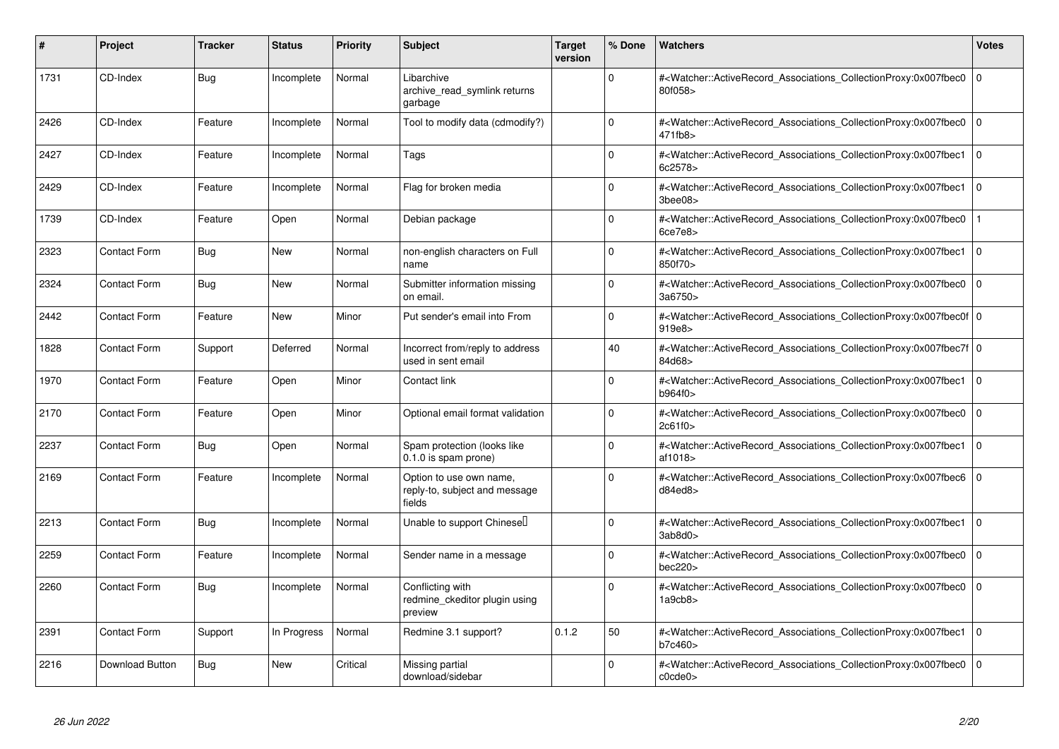| #    | Project                | <b>Tracker</b> | <b>Status</b> | Priority | <b>Subject</b>                                                     | <b>Target</b><br>version | % Done      | <b>Watchers</b>                                                                                                                                           | <b>Votes</b> |
|------|------------------------|----------------|---------------|----------|--------------------------------------------------------------------|--------------------------|-------------|-----------------------------------------------------------------------------------------------------------------------------------------------------------|--------------|
| 1731 | CD-Index               | <b>Bug</b>     | Incomplete    | Normal   | Libarchive<br>archive_read_symlink returns<br>garbage              |                          | 0           | # <watcher::activerecord associations="" collectionproxy:0x007fbec0<br="">80f058&gt;</watcher::activerecord>                                              | l O          |
| 2426 | CD-Index               | Feature        | Incomplete    | Normal   | Tool to modify data (cdmodify?)                                    |                          | $\Omega$    | # <watcher::activerecord associations="" collectionproxy:0x007fbec0<br="">471fb8&gt;</watcher::activerecord>                                              | l O          |
| 2427 | CD-Index               | Feature        | Incomplete    | Normal   | Tags                                                               |                          | $\Omega$    | # <watcher::activerecord associations="" collectionproxy:0x007fbec1<br="">6c2578&gt;</watcher::activerecord>                                              | l O          |
| 2429 | CD-Index               | Feature        | Incomplete    | Normal   | Flag for broken media                                              |                          | $\Omega$    | # <watcher::activerecord_associations_collectionproxy:0x007fbec1<br>3bee08&gt;</watcher::activerecord_associations_collectionproxy:0x007fbec1<br>         | l O          |
| 1739 | CD-Index               | Feature        | Open          | Normal   | Debian package                                                     |                          | $\Omega$    | # <watcher::activerecord_associations_collectionproxy:0x007fbec0<br>6ce7e8</watcher::activerecord_associations_collectionproxy:0x007fbec0<br>             |              |
| 2323 | <b>Contact Form</b>    | Bug            | <b>New</b>    | Normal   | non-english characters on Full<br>name                             |                          | $\Omega$    | # <watcher::activerecord_associations_collectionproxy:0x007fbec1<br>850f70&gt;</watcher::activerecord_associations_collectionproxy:0x007fbec1<br>         | l O          |
| 2324 | Contact Form           | Bug            | <b>New</b>    | Normal   | Submitter information missing<br>on email                          |                          | $\Omega$    | # <watcher::activerecord associations="" collectionproxy:0x007fbec0<br="">3a6750&gt;</watcher::activerecord>                                              | I٥           |
| 2442 | Contact Form           | Feature        | <b>New</b>    | Minor    | Put sender's email into From                                       |                          | $\Omega$    | # <watcher::activerecord 0<br="" associations="" collectionproxy:0x007fbec0f=""  ="">919e8&gt;</watcher::activerecord>                                    |              |
| 1828 | Contact Form           | Support        | Deferred      | Normal   | Incorrect from/reply to address<br>used in sent email              |                          | 40          | # <watcher::activerecord_associations_collectionproxy:0x007fbec7f 0<br=""  ="">84d68&gt;</watcher::activerecord_associations_collectionproxy:0x007fbec7f> |              |
| 1970 | Contact Form           | Feature        | Open          | Minor    | Contact link                                                       |                          | $\Omega$    | # <watcher::activerecord_associations_collectionproxy:0x007fbec1<br>b964f0&gt;</watcher::activerecord_associations_collectionproxy:0x007fbec1<br>         | l 0          |
| 2170 | Contact Form           | Feature        | Open          | Minor    | Optional email format validation                                   |                          | $\mathbf 0$ | # <watcher::activerecord_associations_collectionproxy:0x007fbec0<br>2c61f0</watcher::activerecord_associations_collectionproxy:0x007fbec0<br>             | l o          |
| 2237 | Contact Form           | Bug            | Open          | Normal   | Spam protection (looks like<br>0.1.0 is spam prone)                |                          | $\Omega$    | # <watcher::activerecord_associations_collectionproxy:0x007fbec1<br>af1018&gt;</watcher::activerecord_associations_collectionproxy:0x007fbec1<br>         | l O          |
| 2169 | Contact Form           | Feature        | Incomplete    | Normal   | Option to use own name,<br>reply-to, subject and message<br>fields |                          | 0           | # <watcher::activerecord associations="" collectionproxy:0x007fbec6<br="">d84ed8</watcher::activerecord>                                                  | l 0          |
| 2213 | Contact Form           | <b>Bug</b>     | Incomplete    | Normal   | Unable to support Chinesel                                         |                          | $\mathbf 0$ | # <watcher::activerecord_associations_collectionproxy:0x007fbec1<br>3ab8d0</watcher::activerecord_associations_collectionproxy:0x007fbec1<br>             | l o          |
| 2259 | Contact Form           | Feature        | Incomplete    | Normal   | Sender name in a message                                           |                          | $\mathbf 0$ | # <watcher::activerecord associations="" collectionproxy:0x007fbec0<br="">bec220</watcher::activerecord>                                                  | l 0          |
| 2260 | Contact Form           | <b>Bug</b>     | Incomplete    | Normal   | Conflicting with<br>redmine ckeditor plugin using<br>preview       |                          | 0           | # <watcher::activerecord_associations_collectionproxy:0x007fbec0<br>1a9cb8</watcher::activerecord_associations_collectionproxy:0x007fbec0<br>             | l o          |
| 2391 | Contact Form           | Support        | In Progress   | Normal   | Redmine 3.1 support?                                               | 0.1.2                    | 50          | # <watcher::activerecord associations="" collectionproxy:0x007fbec1<br="">b7c460&gt;</watcher::activerecord>                                              | l O          |
| 2216 | <b>Download Button</b> | <b>Bug</b>     | <b>New</b>    | Critical | Missing partial<br>download/sidebar                                |                          | $\Omega$    | # <watcher::activerecord_associations_collectionproxy:0x007fbec0<br>c0cde0</watcher::activerecord_associations_collectionproxy:0x007fbec0<br>             | l 0          |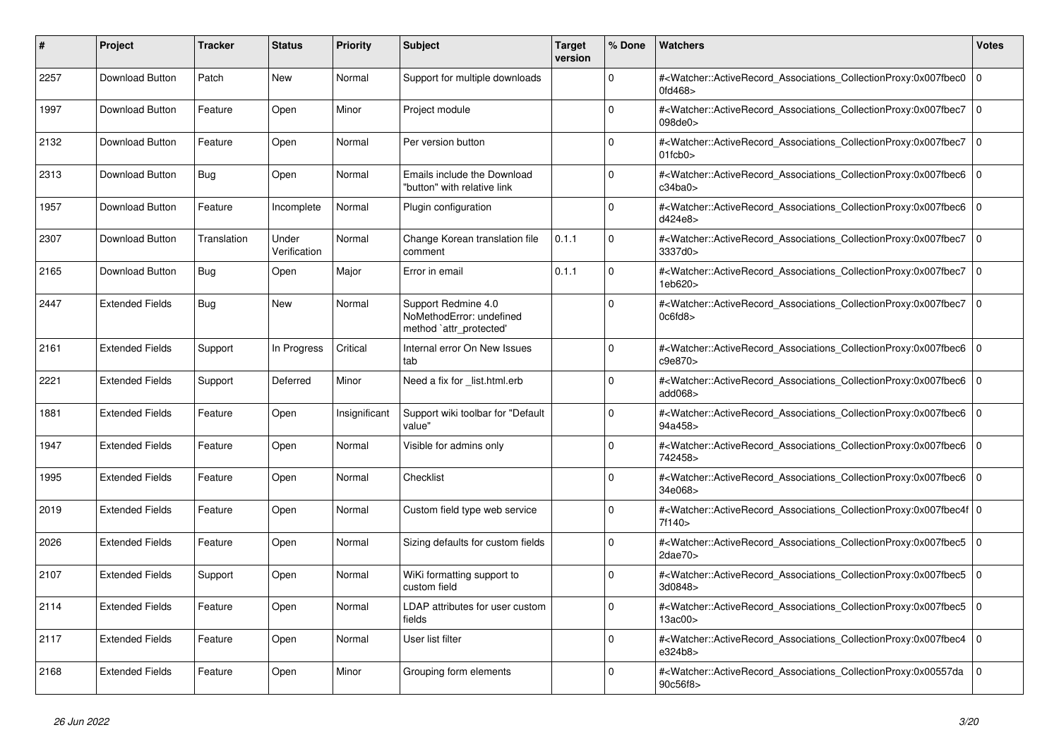| #    | Project                | <b>Tracker</b> | <b>Status</b>         | <b>Priority</b> | <b>Subject</b>                                                             | <b>Target</b><br>version | % Done         | <b>Watchers</b>                                                                                                                                                                | <b>Votes</b>   |
|------|------------------------|----------------|-----------------------|-----------------|----------------------------------------------------------------------------|--------------------------|----------------|--------------------------------------------------------------------------------------------------------------------------------------------------------------------------------|----------------|
| 2257 | <b>Download Button</b> | Patch          | <b>New</b>            | Normal          | Support for multiple downloads                                             |                          | $\Omega$       | # <watcher::activerecord associations="" collectionproxy:0x007fbec0<br="">0fd468&gt;</watcher::activerecord>                                                                   | $\overline{0}$ |
| 1997 | Download Button        | Feature        | Open                  | Minor           | Project module                                                             |                          | 0              | # <watcher::activerecord associations="" collectionproxy:0x007fbec7<br="">098de0&gt;</watcher::activerecord>                                                                   | $\Omega$       |
| 2132 | Download Button        | Feature        | Open                  | Normal          | Per version button                                                         |                          | $\Omega$       | # <watcher::activerecord_associations_collectionproxy:0x007fbec7<br><math>01</math>fcb<math>0</math></watcher::activerecord_associations_collectionproxy:0x007fbec7<br>        | $\overline{0}$ |
| 2313 | <b>Download Button</b> | Bug            | Open                  | Normal          | Emails include the Download<br>"button" with relative link                 |                          | $\Omega$       | # <watcher::activerecord_associations_collectionproxy:0x007fbec6<br>c34ba0&gt;</watcher::activerecord_associations_collectionproxy:0x007fbec6<br>                              | $\Omega$       |
| 1957 | Download Button        | Feature        | Incomplete            | Normal          | Plugin configuration                                                       |                          | $\mathbf 0$    | # <watcher::activerecord_associations_collectionproxy:0x007fbec6<br>d424e8&gt;</watcher::activerecord_associations_collectionproxy:0x007fbec6<br>                              | $\overline{0}$ |
| 2307 | Download Button        | Translation    | Under<br>Verification | Normal          | Change Korean translation file<br>comment                                  | 0.1.1                    | $\Omega$       | # <watcher::activerecord associations="" collectionproxy:0x007fbec7<br="">3337d0&gt;</watcher::activerecord>                                                                   | l O            |
| 2165 | Download Button        | Bug            | Open                  | Major           | Error in email                                                             | 0.1.1                    | $\Omega$       | # <watcher::activerecord_associations_collectionproxy:0x007fbec7<br>1eb620&gt;</watcher::activerecord_associations_collectionproxy:0x007fbec7<br>                              | $\mathbf 0$    |
| 2447 | <b>Extended Fields</b> | Bug            | <b>New</b>            | Normal          | Support Redmine 4.0<br>NoMethodError: undefined<br>method `attr_protected' |                          | $\Omega$       | # <watcher::activerecord_associations_collectionproxy:0x007fbec7<br>0c6fd8</watcher::activerecord_associations_collectionproxy:0x007fbec7<br>                                  | $\overline{0}$ |
| 2161 | <b>Extended Fields</b> | Support        | In Progress           | Critical        | Internal error On New Issues<br>tab                                        |                          | $\Omega$       | # <watcher::activerecord_associations_collectionproxy:0x007fbec6 0<br=""  ="">c9e870&gt;</watcher::activerecord_associations_collectionproxy:0x007fbec6>                       |                |
| 2221 | <b>Extended Fields</b> | Support        | Deferred              | Minor           | Need a fix for _list.html.erb                                              |                          | $\Omega$       | # <watcher::activerecord_associations_collectionproxy:0x007fbec6<br>add068&gt;</watcher::activerecord_associations_collectionproxy:0x007fbec6<br>                              | $\overline{0}$ |
| 1881 | <b>Extended Fields</b> | Feature        | Open                  | Insignificant   | Support wiki toolbar for "Default<br>value"                                |                          | $\Omega$       | # <watcher::activerecord_associations_collectionproxy:0x007fbec6 0<br="">94a458&gt;</watcher::activerecord_associations_collectionproxy:0x007fbec6>                            |                |
| 1947 | <b>Extended Fields</b> | Feature        | Open                  | Normal          | Visible for admins only                                                    |                          | $\Omega$       | # <watcher::activerecord associations="" collectionproxy:0x007fbec6<br="">742458&gt;</watcher::activerecord>                                                                   | $\overline{0}$ |
| 1995 | <b>Extended Fields</b> | Feature        | Open                  | Normal          | Checklist                                                                  |                          | $\overline{0}$ | # <watcher::activerecord associations="" collectionproxy:0x007fbec6<br="">34e068&gt;</watcher::activerecord>                                                                   | $\Omega$       |
| 2019 | <b>Extended Fields</b> | Feature        | Open                  | Normal          | Custom field type web service                                              |                          | $\mathbf 0$    | # <watcher::activerecord_associations_collectionproxy:0x007fbec4f 0<br=""  ="">7f140&gt;</watcher::activerecord_associations_collectionproxy:0x007fbec4f>                      |                |
| 2026 | <b>Extended Fields</b> | Feature        | Open                  | Normal          | Sizing defaults for custom fields                                          |                          | $\Omega$       | # <watcher::activerecord_associations_collectionproxy:0x007fbec5 0<br=""  =""><math>2</math>dae<math>70</math></watcher::activerecord_associations_collectionproxy:0x007fbec5> |                |
| 2107 | <b>Extended Fields</b> | Support        | Open                  | Normal          | WiKi formatting support to<br>custom field                                 |                          | $\mathbf 0$    | # <watcher::activerecord_associations_collectionproxy:0x007fbec5<br>3d0848&gt;</watcher::activerecord_associations_collectionproxy:0x007fbec5<br>                              | $\mathbf 0$    |
| 2114 | <b>Extended Fields</b> | Feature        | Open                  | Normal          | LDAP attributes for user custom<br>fields                                  |                          | $\Omega$       | # <watcher::activerecord_associations_collectionproxy:0x007fbec5 0<br=""  ="">13ac00&gt;</watcher::activerecord_associations_collectionproxy:0x007fbec5>                       |                |
| 2117 | <b>Extended Fields</b> | Feature        | Open                  | Normal          | User list filter                                                           |                          | $\Omega$       | # <watcher::activerecord_associations_collectionproxy:0x007fbec4<br>e324b8&gt;</watcher::activerecord_associations_collectionproxy:0x007fbec4<br>                              | l o            |
| 2168 | <b>Extended Fields</b> | Feature        | Open                  | Minor           | Grouping form elements                                                     |                          | $\Omega$       | # <watcher::activerecord associations="" collectionproxy:0x00557da<br="">90c56f8&gt;</watcher::activerecord>                                                                   | $\Omega$       |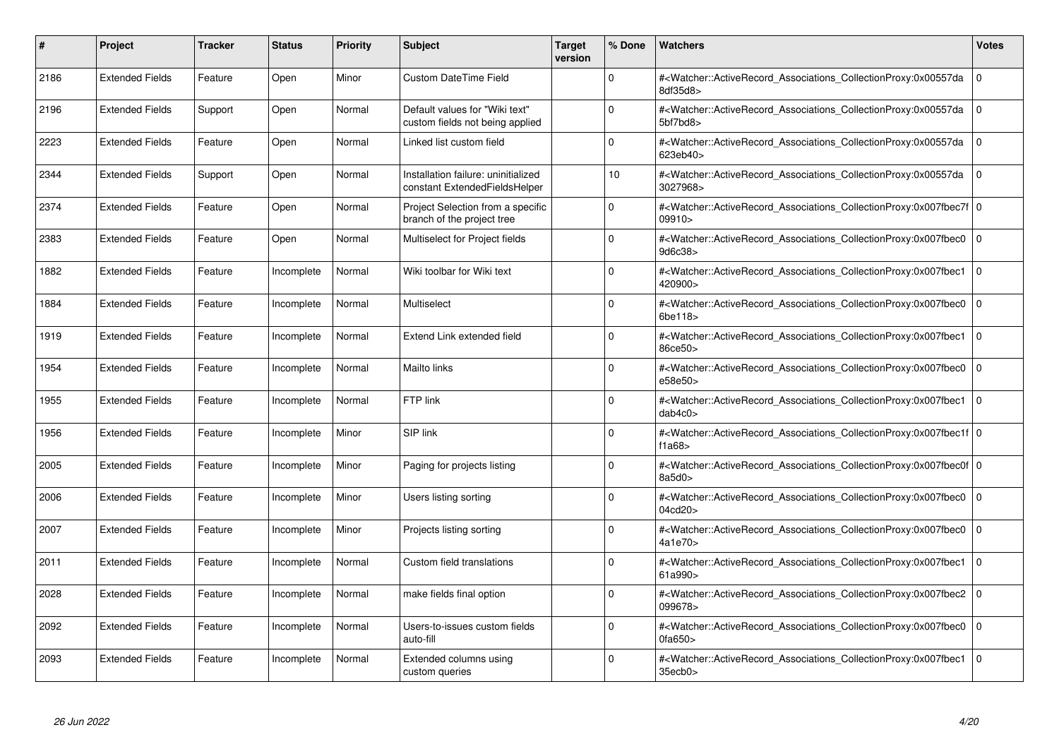| #    | Project                | <b>Tracker</b> | <b>Status</b> | <b>Priority</b> | <b>Subject</b>                                                       | <b>Target</b><br>version | % Done   | <b>Watchers</b>                                                                                                                                           | <b>Votes</b> |
|------|------------------------|----------------|---------------|-----------------|----------------------------------------------------------------------|--------------------------|----------|-----------------------------------------------------------------------------------------------------------------------------------------------------------|--------------|
| 2186 | <b>Extended Fields</b> | Feature        | Open          | Minor           | <b>Custom DateTime Field</b>                                         |                          | $\Omega$ | # <watcher::activerecord associations="" collectionproxy:0x00557da<br="">8df35d8&gt;</watcher::activerecord>                                              | $\mathbf{0}$ |
| 2196 | <b>Extended Fields</b> | Support        | Open          | Normal          | Default values for "Wiki text"<br>custom fields not being applied    |                          | $\Omega$ | # <watcher::activerecord associations="" collectionproxy:0x00557da<br="">5bf7bd8&gt;</watcher::activerecord>                                              | $\mathbf{0}$ |
| 2223 | <b>Extended Fields</b> | Feature        | Open          | Normal          | Linked list custom field                                             |                          | $\Omega$ | # <watcher::activerecord_associations_collectionproxy:0x00557da<br>623eb40&gt;</watcher::activerecord_associations_collectionproxy:0x00557da<br>          | $\mathbf 0$  |
| 2344 | <b>Extended Fields</b> | Support        | Open          | Normal          | Installation failure: uninitialized<br>constant ExtendedFieldsHelper |                          | 10       | # <watcher::activerecord associations="" collectionproxy:0x00557da<br="">3027968&gt;</watcher::activerecord>                                              | $\Omega$     |
| 2374 | <b>Extended Fields</b> | Feature        | Open          | Normal          | Project Selection from a specific<br>branch of the project tree      |                          | $\Omega$ | # <watcher::activerecord_associations_collectionproxy:0x007fbec7f 0<br=""  ="">09910&gt;</watcher::activerecord_associations_collectionproxy:0x007fbec7f> |              |
| 2383 | <b>Extended Fields</b> | Feature        | Open          | Normal          | Multiselect for Project fields                                       |                          | $\Omega$ | # <watcher::activerecord_associations_collectionproxy:0x007fbec0<br>9d6c38&gt;</watcher::activerecord_associations_collectionproxy:0x007fbec0<br>         | $\Omega$     |
| 1882 | <b>Extended Fields</b> | Feature        | Incomplete    | Normal          | Wiki toolbar for Wiki text                                           |                          | $\Omega$ | # <watcher::activerecord associations="" collectionproxy:0x007fbec1<br="">420900&gt;</watcher::activerecord>                                              | $\mathbf 0$  |
| 1884 | <b>Extended Fields</b> | Feature        | Incomplete    | Normal          | Multiselect                                                          |                          | $\Omega$ | # <watcher::activerecord_associations_collectionproxy:0x007fbec0<br>6be118&gt;</watcher::activerecord_associations_collectionproxy:0x007fbec0<br>         | $\Omega$     |
| 1919 | <b>Extended Fields</b> | Feature        | Incomplete    | Normal          | Extend Link extended field                                           |                          | $\Omega$ | # <watcher::activerecord associations="" collectionproxy:0x007fbec1<br="">86ce50&gt;</watcher::activerecord>                                              | $\mathbf 0$  |
| 1954 | <b>Extended Fields</b> | Feature        | Incomplete    | Normal          | Mailto links                                                         |                          | $\Omega$ | # <watcher::activerecord associations="" collectionproxy:0x007fbec0<br="">e58e50&gt;</watcher::activerecord>                                              | $\mathbf 0$  |
| 1955 | <b>Extended Fields</b> | Feature        | Incomplete    | Normal          | FTP link                                                             |                          | $\Omega$ | # <watcher::activerecord_associations_collectionproxy:0x007fbec1<br>dab4c0</watcher::activerecord_associations_collectionproxy:0x007fbec1<br>             | $\mathbf 0$  |
| 1956 | <b>Extended Fields</b> | Feature        | Incomplete    | Minor           | SIP link                                                             |                          | $\Omega$ | # <watcher::activerecord 0<br="" associations="" collectionproxy:0x007fbec1f=""  ="">f1a68</watcher::activerecord>                                        |              |
| 2005 | <b>Extended Fields</b> | Feature        | Incomplete    | Minor           | Paging for projects listing                                          |                          | $\Omega$ | # <watcher::activerecord_associations_collectionproxy:0x007fbec0f 0<br=""  ="">8a5d0&gt;</watcher::activerecord_associations_collectionproxy:0x007fbec0f> |              |
| 2006 | <b>Extended Fields</b> | Feature        | Incomplete    | Minor           | Users listing sorting                                                |                          | $\Omega$ | # <watcher::activerecord_associations_collectionproxy:0x007fbec0<br>04cd20&gt;</watcher::activerecord_associations_collectionproxy:0x007fbec0<br>         | $\mathbf{0}$ |
| 2007 | <b>Extended Fields</b> | Feature        | Incomplete    | Minor           | Projects listing sorting                                             |                          | $\Omega$ | # <watcher::activerecord 0<br="" associations="" collectionproxy:0x007fbec0=""  ="">4a1e70&gt;</watcher::activerecord>                                    |              |
| 2011 | <b>Extended Fields</b> | Feature        | Incomplete    | Normal          | Custom field translations                                            |                          | $\Omega$ | # <watcher::activerecord_associations_collectionproxy:0x007fbec1<br>61a990&gt;</watcher::activerecord_associations_collectionproxy:0x007fbec1<br>         | $\mathbf 0$  |
| 2028 | <b>Extended Fields</b> | Feature        | Incomplete    | Normal          | make fields final option                                             |                          | $\Omega$ | # <watcher::activerecord associations="" collectionproxy:0x007fbec2<br="">099678&gt;</watcher::activerecord>                                              | $\mathbf 0$  |
| 2092 | <b>Extended Fields</b> | Feature        | Incomplete    | Normal          | Users-to-issues custom fields<br>auto-fill                           |                          | $\Omega$ | # <watcher::activerecord associations="" collectionproxy:0x007fbec0<br="">0fa650&gt;</watcher::activerecord>                                              | $\mathbf{0}$ |
| 2093 | <b>Extended Fields</b> | Feature        | Incomplete    | Normal          | Extended columns using<br>custom queries                             |                          | $\Omega$ | # <watcher::activerecord_associations_collectionproxy:0x007fbec1 0<br=""  ="">35ecb0&gt;</watcher::activerecord_associations_collectionproxy:0x007fbec1>  |              |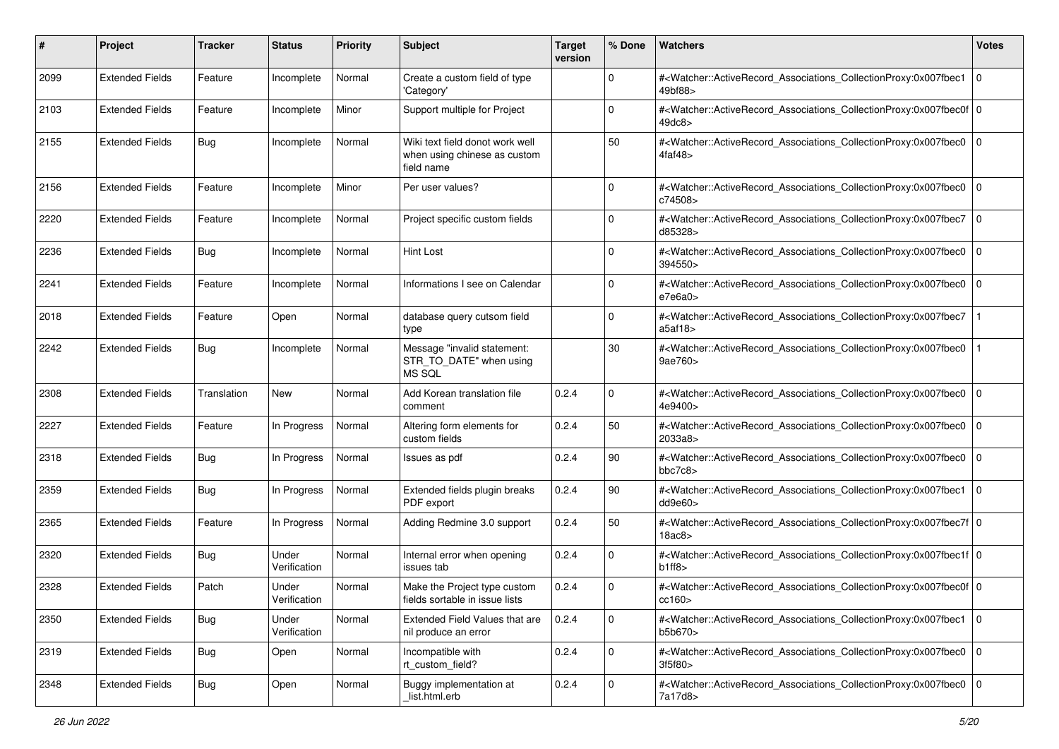| #    | Project                | <b>Tracker</b> | <b>Status</b>         | <b>Priority</b> | <b>Subject</b>                                                                | <b>Target</b><br>version | % Done      | Watchers                                                                                                                                                  | <b>Votes</b> |
|------|------------------------|----------------|-----------------------|-----------------|-------------------------------------------------------------------------------|--------------------------|-------------|-----------------------------------------------------------------------------------------------------------------------------------------------------------|--------------|
| 2099 | <b>Extended Fields</b> | Feature        | Incomplete            | Normal          | Create a custom field of type<br>'Category'                                   |                          | $\mathbf 0$ | # <watcher::activerecord_associations_collectionproxy:0x007fbec1<br>49bf88&gt;</watcher::activerecord_associations_collectionproxy:0x007fbec1<br>         | l O          |
| 2103 | <b>Extended Fields</b> | Feature        | Incomplete            | Minor           | Support multiple for Project                                                  |                          | $\Omega$    | # <watcher::activerecord_associations_collectionproxy:0x007fbec0f 0<br=""  ="">49dc8&gt;</watcher::activerecord_associations_collectionproxy:0x007fbec0f> |              |
| 2155 | <b>Extended Fields</b> | <b>Bug</b>     | Incomplete            | Normal          | Wiki text field donot work well<br>when using chinese as custom<br>field name |                          | 50          | # <watcher::activerecord_associations_collectionproxy:0x007fbec0 0<br="">4faf48&gt;</watcher::activerecord_associations_collectionproxy:0x007fbec0>       |              |
| 2156 | <b>Extended Fields</b> | Feature        | Incomplete            | Minor           | Per user values?                                                              |                          | 0           | # <watcher::activerecord_associations_collectionproxy:0x007fbec0 0<br=""  ="">c74508&gt;</watcher::activerecord_associations_collectionproxy:0x007fbec0>  |              |
| 2220 | <b>Extended Fields</b> | Feature        | Incomplete            | Normal          | Project specific custom fields                                                |                          | $\Omega$    | # <watcher::activerecord_associations_collectionproxy:0x007fbec7<br>d85328&gt;</watcher::activerecord_associations_collectionproxy:0x007fbec7<br>         | 0            |
| 2236 | <b>Extended Fields</b> | <b>Bug</b>     | Incomplete            | Normal          | <b>Hint Lost</b>                                                              |                          | $\Omega$    | # <watcher::activerecord_associations_collectionproxy:0x007fbec0 0<br=""  ="">394550&gt;</watcher::activerecord_associations_collectionproxy:0x007fbec0>  |              |
| 2241 | <b>Extended Fields</b> | Feature        | Incomplete            | Normal          | Informations I see on Calendar                                                |                          | $\Omega$    | # <watcher::activerecord_associations_collectionproxy:0x007fbec0<br>e7e6a0</watcher::activerecord_associations_collectionproxy:0x007fbec0<br>             | 0            |
| 2018 | <b>Extended Fields</b> | Feature        | Open                  | Normal          | database query cutsom field<br>type                                           |                          | $\Omega$    | # <watcher::activerecord_associations_collectionproxy:0x007fbec7<br>a5af18&gt;</watcher::activerecord_associations_collectionproxy:0x007fbec7<br>         |              |
| 2242 | <b>Extended Fields</b> | <b>Bug</b>     | Incomplete            | Normal          | Message "invalid statement:<br>STR_TO_DATE" when using<br>MS SQL              |                          | 30          | # <watcher::activerecord_associations_collectionproxy:0x007fbec0<br>9ae760&gt;</watcher::activerecord_associations_collectionproxy:0x007fbec0<br>         |              |
| 2308 | <b>Extended Fields</b> | Translation    | New                   | Normal          | Add Korean translation file<br>comment                                        | 0.2.4                    | $\mathbf 0$ | # <watcher::activerecord_associations_collectionproxy:0x007fbec0<br>4e9400&gt;</watcher::activerecord_associations_collectionproxy:0x007fbec0<br>         | 0            |
| 2227 | <b>Extended Fields</b> | Feature        | In Progress           | Normal          | Altering form elements for<br>custom fields                                   | 0.2.4                    | 50          | # <watcher::activerecord_associations_collectionproxy:0x007fbec0<br>2033a8&gt;</watcher::activerecord_associations_collectionproxy:0x007fbec0<br>         | l O          |
| 2318 | <b>Extended Fields</b> | <b>Bug</b>     | In Progress           | Normal          | Issues as pdf                                                                 | 0.2.4                    | 90          | # <watcher::activerecord_associations_collectionproxy:0x007fbec0<br>bbc7c8&gt;</watcher::activerecord_associations_collectionproxy:0x007fbec0<br>         | 0            |
| 2359 | <b>Extended Fields</b> | <b>Bug</b>     | In Progress           | Normal          | Extended fields plugin breaks<br>PDF export                                   | 0.2.4                    | 90          | # <watcher::activerecord_associations_collectionproxy:0x007fbec1<br>dd9e60&gt;</watcher::activerecord_associations_collectionproxy:0x007fbec1<br>         | l O          |
| 2365 | <b>Extended Fields</b> | Feature        | In Progress           | Normal          | Adding Redmine 3.0 support                                                    | 0.2.4                    | 50          | # <watcher::activerecord_associations_collectionproxy:0x007fbec7f 0<br="">18ac8</watcher::activerecord_associations_collectionproxy:0x007fbec7f>          |              |
| 2320 | <b>Extended Fields</b> | Bug            | Under<br>Verification | Normal          | Internal error when opening<br>issues tab                                     | 0.2.4                    | 0           | # <watcher::activerecord_associations_collectionproxy:0x007fbec1f 0<br=""  ="">b1ff8</watcher::activerecord_associations_collectionproxy:0x007fbec1f>     |              |
| 2328 | <b>Extended Fields</b> | Patch          | Under<br>Verification | Normal          | Make the Project type custom<br>fields sortable in issue lists                | 0.2.4                    | $\Omega$    | # <watcher::activerecord_associations_collectionproxy:0x007fbec0f 0<br=""  ="">cc160&gt;</watcher::activerecord_associations_collectionproxy:0x007fbec0f> |              |
| 2350 | <b>Extended Fields</b> | <b>Bug</b>     | Under<br>Verification | Normal          | Extended Field Values that are<br>nil produce an error                        | 0.2.4                    | $\mathbf 0$ | # <watcher::activerecord 0<br="" associations="" collectionproxy:0x007fbec1="">b5b670&gt;</watcher::activerecord>                                         |              |
| 2319 | <b>Extended Fields</b> | Bug            | Open                  | Normal          | Incompatible with<br>rt custom field?                                         | 0.2.4                    | $\mathbf 0$ | # <watcher::activerecord_associations_collectionproxy:0x007fbec0 0<br="">3f5f80&gt;</watcher::activerecord_associations_collectionproxy:0x007fbec0>       |              |
| 2348 | <b>Extended Fields</b> | <b>Bug</b>     | Open                  | Normal          | Buggy implementation at<br>list.html.erb                                      | 0.2.4                    | $\mathbf 0$ | # <watcher::activerecord_associations_collectionproxy:0x007fbec0 0<br="">7a17d8&gt;</watcher::activerecord_associations_collectionproxy:0x007fbec0>       |              |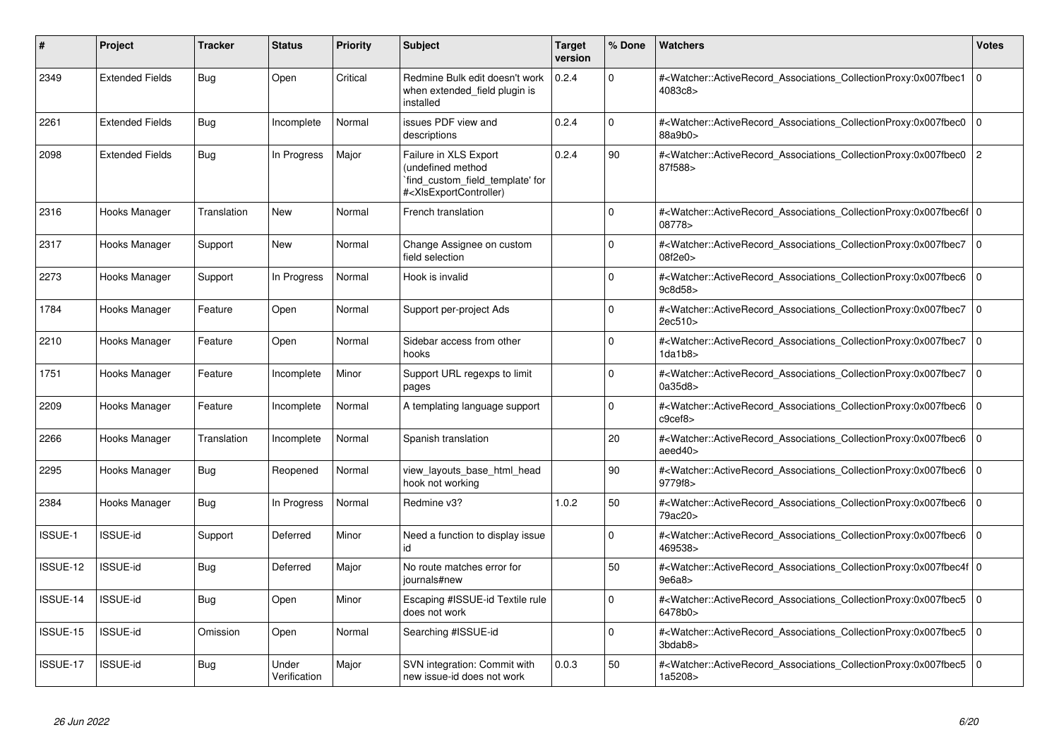| #        | Project                | <b>Tracker</b> | <b>Status</b>         | <b>Priority</b> | <b>Subject</b>                                                                                                                                                                                                                                                                                                          | <b>Target</b><br>version | % Done      | Watchers                                                                                                                                                  | <b>Votes</b>   |
|----------|------------------------|----------------|-----------------------|-----------------|-------------------------------------------------------------------------------------------------------------------------------------------------------------------------------------------------------------------------------------------------------------------------------------------------------------------------|--------------------------|-------------|-----------------------------------------------------------------------------------------------------------------------------------------------------------|----------------|
| 2349     | <b>Extended Fields</b> | Bug            | Open                  | Critical        | Redmine Bulk edit doesn't work<br>when extended_field plugin is<br>installed                                                                                                                                                                                                                                            | 0.2.4                    | $\Omega$    | # <watcher::activerecord_associations_collectionproxy:0x007fbec1<br>4083c8&gt;</watcher::activerecord_associations_collectionproxy:0x007fbec1<br>         | l o            |
| 2261     | <b>Extended Fields</b> | Bug            | Incomplete            | Normal          | issues PDF view and<br>descriptions                                                                                                                                                                                                                                                                                     | 0.2.4                    | $\Omega$    | # <watcher::activerecord_associations_collectionproxy:0x007fbec0<br>88a9b0&gt;</watcher::activerecord_associations_collectionproxy:0x007fbec0<br>         | $\overline{0}$ |
| 2098     | <b>Extended Fields</b> | Bug            | In Progress           | Major           | Failure in XLS Export<br>(undefined method<br>find_custom_field_template' for<br># <xlsexportcontroller)< td=""><td>0.2.4</td><td>90</td><td>#<watcher::activerecord associations="" collectionproxy:0x007fbec0<br="">87f588&gt;</watcher::activerecord></td><td><math>\overline{2}</math></td></xlsexportcontroller)<> | 0.2.4                    | 90          | # <watcher::activerecord associations="" collectionproxy:0x007fbec0<br="">87f588&gt;</watcher::activerecord>                                              | $\overline{2}$ |
| 2316     | Hooks Manager          | Translation    | <b>New</b>            | Normal          | French translation                                                                                                                                                                                                                                                                                                      |                          | $\mathbf 0$ | # <watcher::activerecord_associations_collectionproxy:0x007fbec6f 0<br=""  ="">08778&gt;</watcher::activerecord_associations_collectionproxy:0x007fbec6f> |                |
| 2317     | Hooks Manager          | Support        | New                   | Normal          | Change Assignee on custom<br>field selection                                                                                                                                                                                                                                                                            |                          | $\Omega$    | # <watcher::activerecord_associations_collectionproxy:0x007fbec7<br>08f2e0</watcher::activerecord_associations_collectionproxy:0x007fbec7<br>             | 0              |
| 2273     | Hooks Manager          | Support        | In Progress           | Normal          | Hook is invalid                                                                                                                                                                                                                                                                                                         |                          | $\Omega$    | # <watcher::activerecord associations="" collectionproxy:0x007fbec6<br="">9c8d58&gt;</watcher::activerecord>                                              | 0              |
| 1784     | Hooks Manager          | Feature        | Open                  | Normal          | Support per-project Ads                                                                                                                                                                                                                                                                                                 |                          | $\Omega$    | # <watcher::activerecord associations="" collectionproxy:0x007fbec7<br="">2ec510&gt;</watcher::activerecord>                                              | $\Omega$       |
| 2210     | Hooks Manager          | Feature        | Open                  | Normal          | Sidebar access from other<br>hooks                                                                                                                                                                                                                                                                                      |                          | $\Omega$    | # <watcher::activerecord_associations_collectionproxy:0x007fbec7<br>1 da1 b8</watcher::activerecord_associations_collectionproxy:0x007fbec7<br>           | $\overline{0}$ |
| 1751     | Hooks Manager          | Feature        | Incomplete            | Minor           | Support URL regexps to limit<br>pages                                                                                                                                                                                                                                                                                   |                          | $\Omega$    | # <watcher::activerecord_associations_collectionproxy:0x007fbec7<br>0a35d8&gt;</watcher::activerecord_associations_collectionproxy:0x007fbec7<br>         | $\overline{0}$ |
| 2209     | Hooks Manager          | Feature        | Incomplete            | Normal          | A templating language support                                                                                                                                                                                                                                                                                           |                          | $\Omega$    | # <watcher::activerecord_associations_collectionproxy:0x007fbec6<br>c9cef8</watcher::activerecord_associations_collectionproxy:0x007fbec6<br>             | $\overline{0}$ |
| 2266     | Hooks Manager          | Translation    | Incomplete            | Normal          | Spanish translation                                                                                                                                                                                                                                                                                                     |                          | 20          | # <watcher::activerecord_associations_collectionproxy:0x007fbec6<br>aeed40&gt;</watcher::activerecord_associations_collectionproxy:0x007fbec6<br>         | $\overline{0}$ |
| 2295     | Hooks Manager          | Bug            | Reopened              | Normal          | view layouts base html head<br>hook not working                                                                                                                                                                                                                                                                         |                          | 90          | # <watcher::activerecord_associations_collectionproxy:0x007fbec6<br>9779f8&gt;</watcher::activerecord_associations_collectionproxy:0x007fbec6<br>         | 0              |
| 2384     | Hooks Manager          | Bug            | In Progress           | Normal          | Redmine v3?                                                                                                                                                                                                                                                                                                             | 1.0.2                    | 50          | # <watcher::activerecord associations="" collectionproxy:0x007fbec6<br="">79ac20&gt;</watcher::activerecord>                                              | 0              |
| ISSUE-1  | <b>ISSUE-id</b>        | Support        | Deferred              | Minor           | Need a function to display issue<br>id                                                                                                                                                                                                                                                                                  |                          | $\Omega$    | # <watcher::activerecord_associations_collectionproxy:0x007fbec6<br>469538&gt;</watcher::activerecord_associations_collectionproxy:0x007fbec6<br>         | $\mathbf 0$    |
| ISSUE-12 | ISSUE-id               | Bug            | Deferred              | Major           | No route matches error for<br>journals#new                                                                                                                                                                                                                                                                              |                          | 50          | # <watcher::activerecord 0<br="" associations="" collectionproxy:0x007fbec4f=""  ="">9e6a8</watcher::activerecord>                                        |                |
| ISSUE-14 | <b>ISSUE-id</b>        | <b>Bug</b>     | Open                  | Minor           | Escaping #ISSUE-id Textile rule<br>does not work                                                                                                                                                                                                                                                                        |                          | $\Omega$    | # <watcher::activerecord_associations_collectionproxy:0x007fbec5<br>6478b0&gt;</watcher::activerecord_associations_collectionproxy:0x007fbec5<br>         | $\overline{0}$ |
| ISSUE-15 | <b>ISSUE-id</b>        | Omission       | Open                  | Normal          | Searching #ISSUE-id                                                                                                                                                                                                                                                                                                     |                          | $\Omega$    | # <watcher::activerecord associations="" collectionproxy:0x007fbec5<br="">3bdab8&gt;</watcher::activerecord>                                              | $\overline{0}$ |
| ISSUE-17 | <b>ISSUE-id</b>        | <b>Bug</b>     | Under<br>Verification | Major           | SVN integration: Commit with<br>new issue-id does not work                                                                                                                                                                                                                                                              | 0.0.3                    | 50          | # <watcher::activerecord_associations_collectionproxy:0x007fbec5<br>1a5208&gt;</watcher::activerecord_associations_collectionproxy:0x007fbec5<br>         | $\overline{0}$ |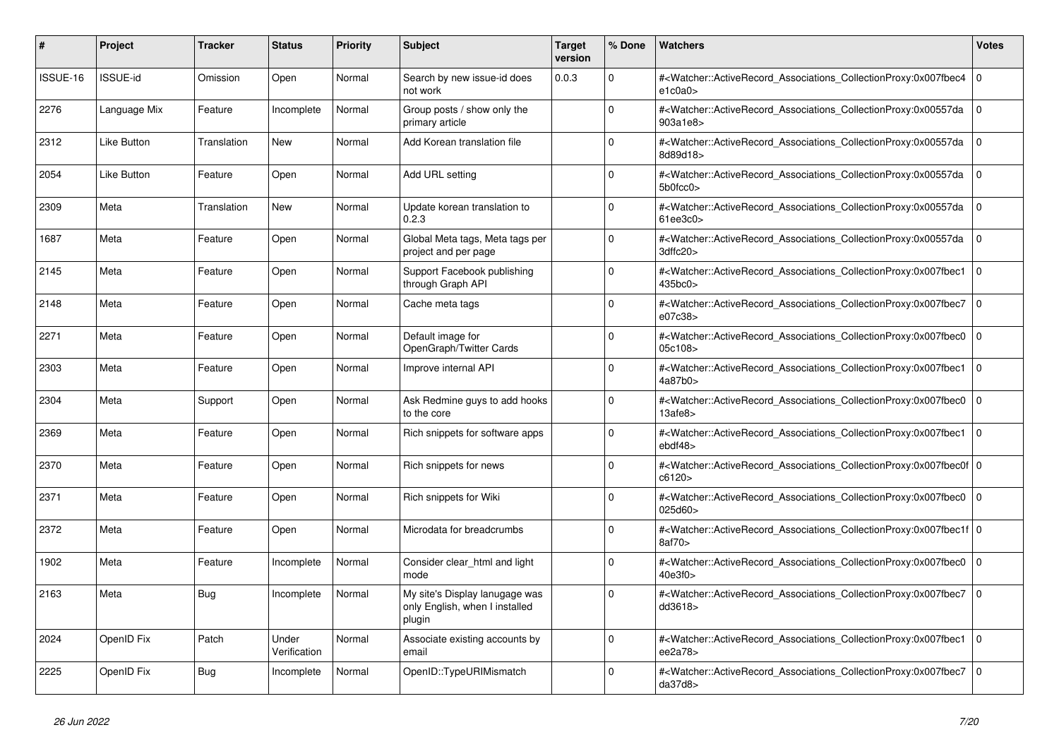| #        | <b>Project</b>     | Tracker     | <b>Status</b>         | <b>Priority</b> | <b>Subject</b>                                                             | <b>Target</b><br>version | % Done   | <b>Watchers</b>                                                                                                                                           | <b>Votes</b> |
|----------|--------------------|-------------|-----------------------|-----------------|----------------------------------------------------------------------------|--------------------------|----------|-----------------------------------------------------------------------------------------------------------------------------------------------------------|--------------|
| ISSUE-16 | <b>ISSUE-id</b>    | Omission    | Open                  | Normal          | Search by new issue-id does<br>not work                                    | 0.0.3                    | $\Omega$ | # <watcher::activerecord_associations_collectionproxy:0x007fbec4<br>e1c0a0&gt;</watcher::activerecord_associations_collectionproxy:0x007fbec4<br>         | $\mathbf 0$  |
| 2276     | Language Mix       | Feature     | Incomplete            | Normal          | Group posts / show only the<br>primary article                             |                          | $\Omega$ | # <watcher::activerecord associations="" collectionproxy:0x00557da<br="">903a1e8&gt;</watcher::activerecord>                                              | $\Omega$     |
| 2312     | Like Button        | Translation | New                   | Normal          | Add Korean translation file                                                |                          | $\Omega$ | # <watcher::activerecord associations="" collectionproxy:0x00557da<br="">8d89d18&gt;</watcher::activerecord>                                              | $\mathbf{0}$ |
| 2054     | <b>Like Button</b> | Feature     | Open                  | Normal          | Add URL setting                                                            |                          | $\Omega$ | # <watcher::activerecord_associations_collectionproxy:0x00557da<br>5b0fcc0&gt;</watcher::activerecord_associations_collectionproxy:0x00557da<br>          | $\mathbf 0$  |
| 2309     | Meta               | Translation | <b>New</b>            | Normal          | Update korean translation to<br>0.2.3                                      |                          | $\Omega$ | # <watcher::activerecord_associations_collectionproxy:0x00557da<br>61ee3c0</watcher::activerecord_associations_collectionproxy:0x00557da<br>              | $\Omega$     |
| 1687     | Meta               | Feature     | Open                  | Normal          | Global Meta tags, Meta tags per<br>project and per page                    |                          | $\Omega$ | # <watcher::activerecord associations="" collectionproxy:0x00557da<br="">3dffc20&gt;</watcher::activerecord>                                              | $\mathbf{0}$ |
| 2145     | Meta               | Feature     | Open                  | Normal          | Support Facebook publishing<br>through Graph API                           |                          | $\Omega$ | # <watcher::activerecord associations="" collectionproxy:0x007fbec1<br="">435bc0&gt;</watcher::activerecord>                                              | $\mathbf 0$  |
| 2148     | Meta               | Feature     | Open                  | Normal          | Cache meta tags                                                            |                          | $\Omega$ | # <watcher::activerecord_associations_collectionproxy:0x007fbec7 0<br=""  ="">e07c38&gt;</watcher::activerecord_associations_collectionproxy:0x007fbec7>  |              |
| 2271     | Meta               | Feature     | Open                  | Normal          | Default image for<br>OpenGraph/Twitter Cards                               |                          | $\Omega$ | # <watcher::activerecord_associations_collectionproxy:0x007fbec0 0<br=""  ="">05c108&gt;</watcher::activerecord_associations_collectionproxy:0x007fbec0>  |              |
| 2303     | Meta               | Feature     | Open                  | Normal          | Improve internal API                                                       |                          | $\Omega$ | # <watcher::activerecord associations="" collectionproxy:0x007fbec1<br="">4a87b0</watcher::activerecord>                                                  | $\mathbf 0$  |
| 2304     | Meta               | Support     | Open                  | Normal          | Ask Redmine guys to add hooks<br>to the core                               |                          | $\Omega$ | # <watcher::activerecord_associations_collectionproxy:0x007fbec0<br>13afe8&gt;</watcher::activerecord_associations_collectionproxy:0x007fbec0<br>         | $\Omega$     |
| 2369     | Meta               | Feature     | Open                  | Normal          | Rich snippets for software apps                                            |                          | $\Omega$ | # <watcher::activerecord associations="" collectionproxy:0x007fbec1<br="">ebdf48&gt;</watcher::activerecord>                                              | 10           |
| 2370     | Meta               | Feature     | Open                  | Normal          | Rich snippets for news                                                     |                          | $\Omega$ | # <watcher::activerecord 0<br="" associations="" collectionproxy:0x007fbec0f=""  ="">c6120&gt;</watcher::activerecord>                                    |              |
| 2371     | Meta               | Feature     | Open                  | Normal          | Rich snippets for Wiki                                                     |                          | $\Omega$ | # <watcher::activerecord_associations_collectionproxy:0x007fbec0 0<br="">025d60&gt;</watcher::activerecord_associations_collectionproxy:0x007fbec0>       |              |
| 2372     | Meta               | Feature     | Open                  | Normal          | Microdata for breadcrumbs                                                  |                          | $\Omega$ | # <watcher::activerecord_associations_collectionproxy:0x007fbec1f 0<br=""  ="">8af70&gt;</watcher::activerecord_associations_collectionproxy:0x007fbec1f> |              |
| 1902     | Meta               | Feature     | Incomplete            | Normal          | Consider clear html and light<br>mode                                      |                          | $\Omega$ | # <watcher::activerecord associations="" collectionproxy:0x007fbec0<br="">40e3f0</watcher::activerecord>                                                  | $\mathbf 0$  |
| 2163     | Meta               | Bug         | Incomplete            | Normal          | My site's Display lanugage was<br>only English, when I installed<br>plugin |                          | $\Omega$ | # <watcher::activerecord_associations_collectionproxy:0x007fbec7 0<br=""  ="">dd3618&gt;</watcher::activerecord_associations_collectionproxy:0x007fbec7>  |              |
| 2024     | OpenID Fix         | Patch       | Under<br>Verification | Normal          | Associate existing accounts by<br>email                                    |                          | $\Omega$ | # <watcher::activerecord_associations_collectionproxy:0x007fbec1 0<br=""  ="">ee2a78&gt;</watcher::activerecord_associations_collectionproxy:0x007fbec1>  |              |
| 2225     | OpenID Fix         | <b>Bug</b>  | Incomplete            | Normal          | OpenID::TypeURIMismatch                                                    |                          | $\Omega$ | # <watcher::activerecord_associations_collectionproxy:0x007fbec7<br>da37d8</watcher::activerecord_associations_collectionproxy:0x007fbec7<br>             | $\Omega$     |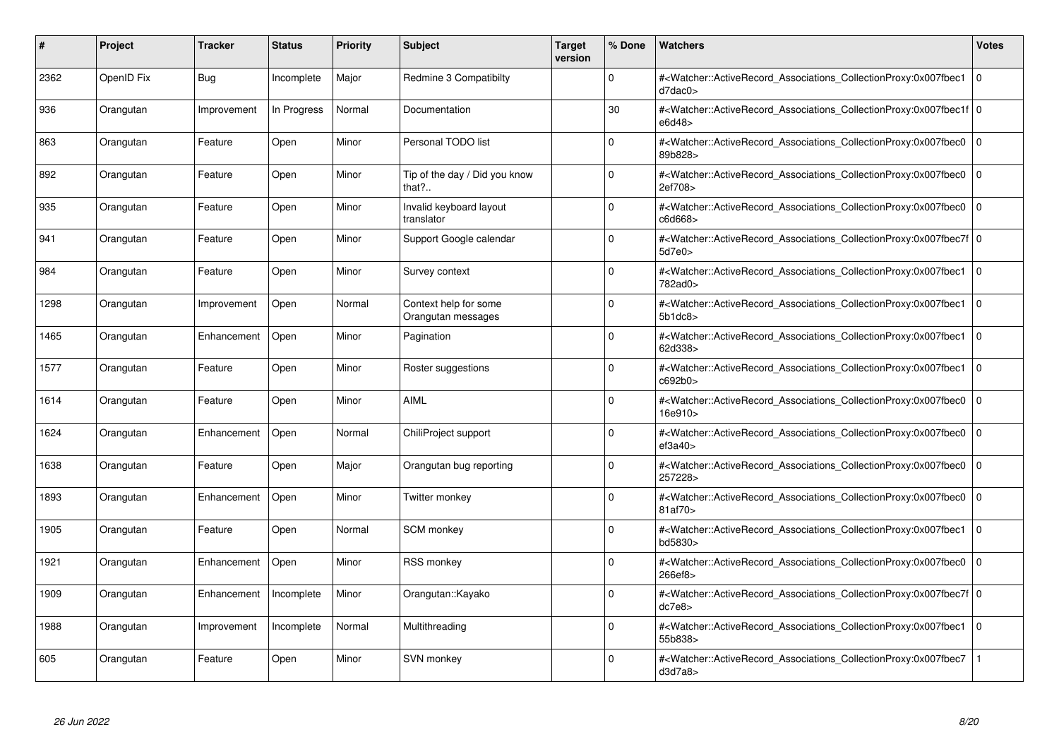| #    | Project    | <b>Tracker</b> | <b>Status</b> | <b>Priority</b> | <b>Subject</b>                                      | <b>Target</b><br>version | % Done      | <b>Watchers</b>                                                                                                                                           | <b>Votes</b> |
|------|------------|----------------|---------------|-----------------|-----------------------------------------------------|--------------------------|-------------|-----------------------------------------------------------------------------------------------------------------------------------------------------------|--------------|
| 2362 | OpenID Fix | Bug            | Incomplete    | Major           | Redmine 3 Compatibilty                              |                          | $\Omega$    | # <watcher::activerecord associations="" collectionproxy:0x007fbec1<br="">d7dac0</watcher::activerecord>                                                  | $\mathbf 0$  |
| 936  | Orangutan  | Improvement    | In Progress   | Normal          | Documentation                                       |                          | 30          | # <watcher::activerecord_associations_collectionproxy:0x007fbec1f 0<br=""  ="">e6d48&gt;</watcher::activerecord_associations_collectionproxy:0x007fbec1f> |              |
| 863  | Orangutan  | Feature        | Open          | Minor           | Personal TODO list                                  |                          | $\Omega$    | # <watcher::activerecord associations="" collectionproxy:0x007fbec0<br="">89b828&gt;</watcher::activerecord>                                              | $\mathbf 0$  |
| 892  | Orangutan  | Feature        | Open          | Minor           | Tip of the day / Did you know<br>that? $\therefore$ |                          | $\Omega$    | # <watcher::activerecord associations="" collectionproxy:0x007fbec0<br="">2ef708&gt;</watcher::activerecord>                                              | $\mathbf 0$  |
| 935  | Orangutan  | Feature        | Open          | Minor           | Invalid keyboard layout<br>translator               |                          | $\Omega$    | # <watcher::activerecord_associations_collectionproxy:0x007fbec0  <br="">c6d668&gt;</watcher::activerecord_associations_collectionproxy:0x007fbec0>       | $\mathbf 0$  |
| 941  | Orangutan  | Feature        | Open          | Minor           | Support Google calendar                             |                          | $\Omega$    | # <watcher::activerecord 0<br="" associations="" collectionproxy:0x007fbec7f=""  ="">5d7e0&gt;</watcher::activerecord>                                    |              |
| 984  | Orangutan  | Feature        | Open          | Minor           | Survey context                                      |                          | $\Omega$    | # <watcher::activerecord_associations_collectionproxy:0x007fbec1<br>782ad0&gt;</watcher::activerecord_associations_collectionproxy:0x007fbec1<br>         | l O          |
| 1298 | Orangutan  | Improvement    | Open          | Normal          | Context help for some<br>Orangutan messages         |                          | $\Omega$    | # <watcher::activerecord associations="" collectionproxy:0x007fbec1<br="">5b1dc8</watcher::activerecord>                                                  | $\mathbf 0$  |
| 1465 | Orangutan  | Enhancement    | Open          | Minor           | Pagination                                          |                          | $\Omega$    | # <watcher::activerecord_associations_collectionproxy:0x007fbec1<br>62d338&gt;</watcher::activerecord_associations_collectionproxy:0x007fbec1<br>         | $\mathbf 0$  |
| 1577 | Orangutan  | Feature        | Open          | Minor           | Roster suggestions                                  |                          | $\Omega$    | # <watcher::activerecord_associations_collectionproxy:0x007fbec1<br>c692b0&gt;</watcher::activerecord_associations_collectionproxy:0x007fbec1<br>         | $\Omega$     |
| 1614 | Orangutan  | Feature        | Open          | Minor           | <b>AIML</b>                                         |                          | $\Omega$    | # <watcher::activerecord associations="" collectionproxy:0x007fbec0<br="">16e910&gt;</watcher::activerecord>                                              | $\mathbf 0$  |
| 1624 | Orangutan  | Enhancement    | Open          | Normal          | ChiliProject support                                |                          | $\Omega$    | # <watcher::activerecord associations="" collectionproxy:0x007fbec0<br="">ef3a40&gt;</watcher::activerecord>                                              | $\Omega$     |
| 1638 | Orangutan  | Feature        | Open          | Major           | Orangutan bug reporting                             |                          | $\Omega$    | # <watcher::activerecord associations="" collectionproxy:0x007fbec0<br="">257228&gt;</watcher::activerecord>                                              | $\mathbf 0$  |
| 1893 | Orangutan  | Enhancement    | Open          | Minor           | Twitter monkey                                      |                          | $\mathbf 0$ | # <watcher::activerecord_associations_collectionproxy:0x007fbec0<br>81af70&gt;</watcher::activerecord_associations_collectionproxy:0x007fbec0<br>         | $\mathbf 0$  |
| 1905 | Orangutan  | Feature        | Open          | Normal          | <b>SCM</b> monkey                                   |                          | $\Omega$    | # <watcher::activerecord_associations_collectionproxy:0x007fbec1<br>bd5830&gt;</watcher::activerecord_associations_collectionproxy:0x007fbec1<br>         | $\mathbf 0$  |
| 1921 | Orangutan  | Enhancement    | Open          | Minor           | <b>RSS monkey</b>                                   |                          | $\Omega$    | # <watcher::activerecord associations="" collectionproxy:0x007fbec0<br="">266ef8&gt;</watcher::activerecord>                                              | $\mathbf 0$  |
| 1909 | Orangutan  | Enhancement    | Incomplete    | Minor           | Orangutan::Kayako                                   |                          | $\Omega$    | # <watcher::activerecord_associations_collectionproxy:0x007fbec7f 0<br=""  ="">dc7e8</watcher::activerecord_associations_collectionproxy:0x007fbec7f>     |              |
| 1988 | Orangutan  | Improvement    | Incomplete    | Normal          | Multithreading                                      |                          | $\Omega$    | # <watcher::activerecord associations="" collectionproxy:0x007fbec1<br="">55b838&gt;</watcher::activerecord>                                              | $\mathbf{0}$ |
| 605  | Orangutan  | Feature        | Open          | Minor           | SVN monkey                                          |                          | $\Omega$    | # <watcher::activerecord associations="" collectionproxy:0x007fbec7<br="">d3d7a8</watcher::activerecord>                                                  |              |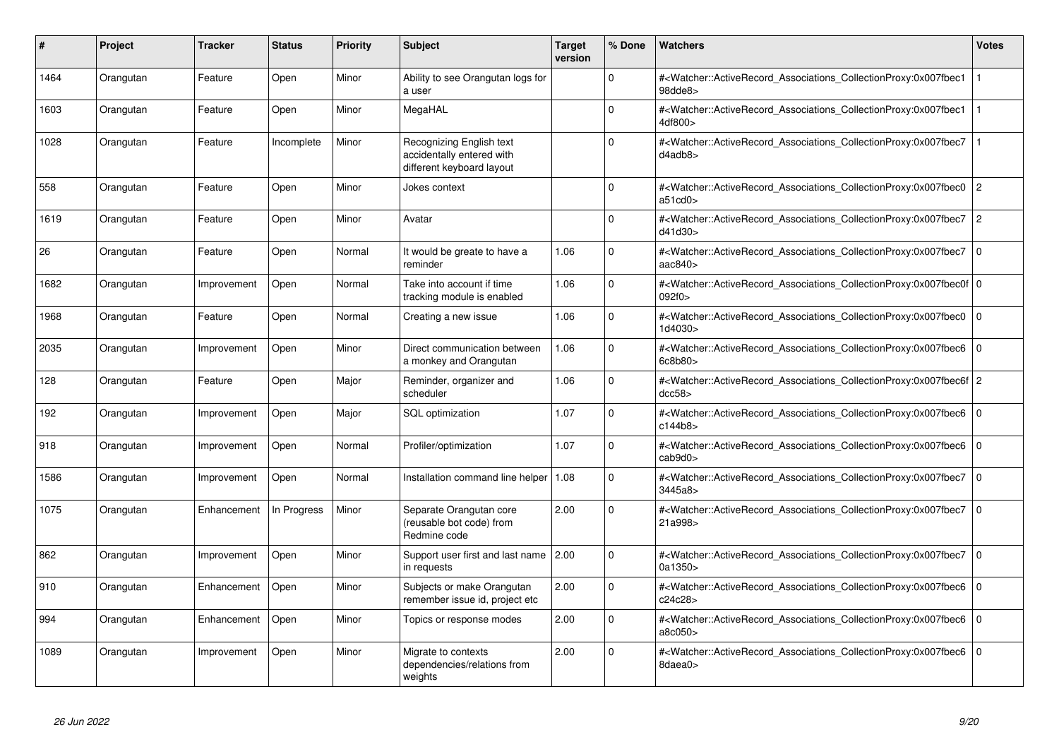| #    | <b>Project</b> | <b>Tracker</b> | <b>Status</b> | <b>Priority</b> | <b>Subject</b>                                                                     | <b>Target</b><br>version | % Done      | <b>Watchers</b>                                                                                                                                           | Votes          |
|------|----------------|----------------|---------------|-----------------|------------------------------------------------------------------------------------|--------------------------|-------------|-----------------------------------------------------------------------------------------------------------------------------------------------------------|----------------|
| 1464 | Orangutan      | Feature        | Open          | Minor           | Ability to see Orangutan logs for<br>a user                                        |                          | $\Omega$    | # <watcher::activerecord associations="" collectionproxy:0x007fbec1<br="">98dde8&gt;</watcher::activerecord>                                              |                |
| 1603 | Orangutan      | Feature        | Open          | Minor           | MegaHAL                                                                            |                          | $\Omega$    | # <watcher::activerecord_associations_collectionproxy:0x007fbec1<br>4df800&gt;</watcher::activerecord_associations_collectionproxy:0x007fbec1<br>         |                |
| 1028 | Orangutan      | Feature        | Incomplete    | Minor           | Recognizing English text<br>accidentally entered with<br>different keyboard layout |                          | $\Omega$    | # <watcher::activerecord_associations_collectionproxy:0x007fbec7<br>d4adb8&gt;</watcher::activerecord_associations_collectionproxy:0x007fbec7<br>         |                |
| 558  | Orangutan      | Feature        | Open          | Minor           | Jokes context                                                                      |                          | $\Omega$    | # <watcher::activerecord_associations_collectionproxy:0x007fbec0<br>a51cd0</watcher::activerecord_associations_collectionproxy:0x007fbec0<br>             | $\overline{2}$ |
| 1619 | Orangutan      | Feature        | Open          | Minor           | Avatar                                                                             |                          | $\Omega$    | # <watcher::activerecord associations="" collectionproxy:0x007fbec7<br="">d41d30&gt;</watcher::activerecord>                                              | $\overline{c}$ |
| 26   | Orangutan      | Feature        | Open          | Normal          | It would be greate to have a<br>reminder                                           | 1.06                     | $\Omega$    | # <watcher::activerecord_associations_collectionproxy:0x007fbec7<br>aac840&gt;</watcher::activerecord_associations_collectionproxy:0x007fbec7<br>         | $\Omega$       |
| 1682 | Orangutan      | Improvement    | Open          | Normal          | Take into account if time<br>tracking module is enabled                            | 1.06                     | 0           | # <watcher::activerecord_associations_collectionproxy:0x007fbec0f 0<br=""  ="">092f0&gt;</watcher::activerecord_associations_collectionproxy:0x007fbec0f> |                |
| 1968 | Orangutan      | Feature        | Open          | Normal          | Creating a new issue                                                               | 1.06                     | $\Omega$    | # <watcher::activerecord_associations_collectionproxy:0x007fbec0<br>1d4030&gt;</watcher::activerecord_associations_collectionproxy:0x007fbec0<br>         | $\mathbf 0$    |
| 2035 | Orangutan      | Improvement    | Open          | Minor           | Direct communication between<br>a monkey and Orangutan                             | 1.06                     | $\Omega$    | # <watcher::activerecord_associations_collectionproxy:0x007fbec6<br>6c8b80</watcher::activerecord_associations_collectionproxy:0x007fbec6<br>             | $\Omega$       |
| 128  | Orangutan      | Feature        | Open          | Major           | Reminder, organizer and<br>scheduler                                               | 1.06                     | $\mathbf 0$ | # <watcher::activerecord_associations_collectionproxy:0x007fbec6f 2<br="">dcc58</watcher::activerecord_associations_collectionproxy:0x007fbec6f>          |                |
| 192  | Orangutan      | Improvement    | Open          | Major           | SQL optimization                                                                   | 1.07                     | $\Omega$    | # <watcher::activerecord associations="" collectionproxy:0x007fbec6<br="">c144b8&gt;</watcher::activerecord>                                              | $\Omega$       |
| 918  | Orangutan      | Improvement    | Open          | Normal          | Profiler/optimization                                                              | 1.07                     | $\Omega$    | # <watcher::activerecord associations="" collectionproxy:0x007fbec6<br="">cab9d0<sub>&gt;</sub></watcher::activerecord>                                   | $\Omega$       |
| 1586 | Orangutan      | Improvement    | Open          | Normal          | Installation command line helper   1.08                                            |                          | $\Omega$    | # <watcher::activerecord_associations_collectionproxy:0x007fbec7<br>3445a8&gt;</watcher::activerecord_associations_collectionproxy:0x007fbec7<br>         | $\mathbf 0$    |
| 1075 | Orangutan      | Enhancement    | In Progress   | Minor           | Separate Orangutan core<br>(reusable bot code) from<br>Redmine code                | 2.00                     | $\Omega$    | # <watcher::activerecord associations="" collectionproxy:0x007fbec7<br="">21a998&gt;</watcher::activerecord>                                              | $\mathbf 0$    |
| 862  | Orangutan      | Improvement    | Open          | Minor           | Support user first and last name 2.00<br>in requests                               |                          | $\Omega$    | # <watcher::activerecord_associations_collectionproxy:0x007fbec7<br>0a1350&gt;</watcher::activerecord_associations_collectionproxy:0x007fbec7<br>         | $\Omega$       |
| 910  | Orangutan      | Enhancement    | Open          | Minor           | Subjects or make Orangutan<br>remember issue id, project etc                       | 2.00                     | $\Omega$    | # <watcher::activerecord_associations_collectionproxy:0x007fbec6<br>c24c28&gt;</watcher::activerecord_associations_collectionproxy:0x007fbec6<br>         | $\Omega$       |
| 994  | Orangutan      | Enhancement    | Open          | Minor           | Topics or response modes                                                           | 2.00                     | $\Omega$    | # <watcher::activerecord_associations_collectionproxy:0x007fbec6<br>a8c050&gt;</watcher::activerecord_associations_collectionproxy:0x007fbec6<br>         | $\Omega$       |
| 1089 | Orangutan      | Improvement    | Open          | Minor           | Migrate to contexts<br>dependencies/relations from<br>weights                      | 2.00                     | $\Omega$    | # <watcher::activerecord associations="" collectionproxy:0x007fbec6<br="">8daea0&gt;</watcher::activerecord>                                              | $\Omega$       |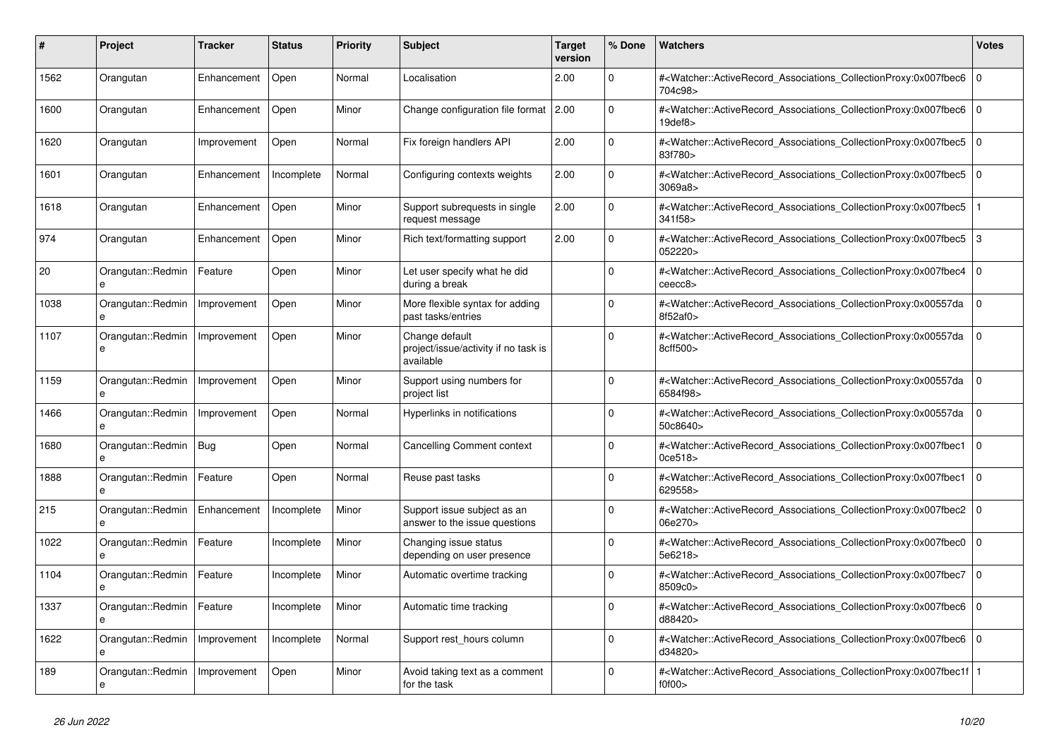| #    | <b>Project</b>                    | Tracker     | <b>Status</b> | <b>Priority</b> | <b>Subject</b>                                                      | <b>Target</b><br>version | % Done      | <b>Watchers</b>                                                                                                                                          | <b>Votes</b>   |
|------|-----------------------------------|-------------|---------------|-----------------|---------------------------------------------------------------------|--------------------------|-------------|----------------------------------------------------------------------------------------------------------------------------------------------------------|----------------|
| 1562 | Orangutan                         | Enhancement | Open          | Normal          | Localisation                                                        | 2.00                     | $\mathbf 0$ | # <watcher::activerecord_associations_collectionproxy:0x007fbec6<br>704c98&gt;</watcher::activerecord_associations_collectionproxy:0x007fbec6<br>        | $\overline{0}$ |
| 1600 | Orangutan                         | Enhancement | Open          | Minor           | Change configuration file format 2.00                               |                          | $\Omega$    | # <watcher::activerecord_associations_collectionproxy:0x007fbec6<br>19<sub>def8</sub></watcher::activerecord_associations_collectionproxy:0x007fbec6<br> | $\overline{0}$ |
| 1620 | Orangutan                         | Improvement | Open          | Normal          | Fix foreign handlers API                                            | 2.00                     | $\mathbf 0$ | # <watcher::activerecord_associations_collectionproxy:0x007fbec5 0<br="">83f780&gt;</watcher::activerecord_associations_collectionproxy:0x007fbec5>      |                |
| 1601 | Orangutan                         | Enhancement | Incomplete    | Normal          | Configuring contexts weights                                        | 2.00                     | $\Omega$    | # <watcher::activerecord_associations_collectionproxy:0x007fbec5<br>3069a8</watcher::activerecord_associations_collectionproxy:0x007fbec5<br>            | $\mathbf 0$    |
| 1618 | Orangutan                         | Enhancement | Open          | Minor           | Support subrequests in single<br>request message                    | 2.00                     | $\Omega$    | # <watcher::activerecord_associations_collectionproxy:0x007fbec5<br>341f58&gt;</watcher::activerecord_associations_collectionproxy:0x007fbec5<br>        |                |
| 974  | Orangutan                         | Enhancement | Open          | Minor           | Rich text/formatting support                                        | 2.00                     | $\Omega$    | # <watcher::activerecord associations="" collectionproxy:0x007fbec5<br="">052220&gt;</watcher::activerecord>                                             | Iз             |
| 20   | Orangutan::Redmin<br>$\mathbf{a}$ | Feature     | Open          | Minor           | Let user specify what he did<br>during a break                      |                          | $\Omega$    | # <watcher::activerecord associations="" collectionproxy:0x007fbec4<br="">ceecc8</watcher::activerecord>                                                 | $\mathbf 0$    |
| 1038 | Orangutan::Redmin<br>e            | Improvement | Open          | Minor           | More flexible syntax for adding<br>past tasks/entries               |                          | $\Omega$    | # <watcher::activerecord_associations_collectionproxy:0x00557da<br>8f52af0&gt;</watcher::activerecord_associations_collectionproxy:0x00557da<br>         | $\Omega$       |
| 1107 | Orangutan::Redmin<br>e            | Improvement | Open          | Minor           | Change default<br>project/issue/activity if no task is<br>available |                          | $\Omega$    | # <watcher::activerecord_associations_collectionproxy:0x00557da<br>8cff500&gt;</watcher::activerecord_associations_collectionproxy:0x00557da<br>         | $\mathbf 0$    |
| 1159 | Orangutan::Redmin                 | Improvement | Open          | Minor           | Support using numbers for<br>project list                           |                          | $\Omega$    | # <watcher::activerecord_associations_collectionproxy:0x00557da<br>6584f98&gt;</watcher::activerecord_associations_collectionproxy:0x00557da<br>         | $\Omega$       |
| 1466 | Orangutan::Redmin                 | Improvement | Open          | Normal          | Hyperlinks in notifications                                         |                          | $\Omega$    | # <watcher::activerecord associations="" collectionproxy:0x00557da<br="">50c8640&gt;</watcher::activerecord>                                             | $\Omega$       |
| 1680 | Orangutan::Redmin<br>e            | Bug         | Open          | Normal          | Cancelling Comment context                                          |                          | $\mathbf 0$ | # <watcher::activerecord associations="" collectionproxy:0x007fbec1<br="">0ce518&gt;</watcher::activerecord>                                             | $\overline{0}$ |
| 1888 | Orangutan::Redmin<br>e            | Feature     | Open          | Normal          | Reuse past tasks                                                    |                          | $\Omega$    | # <watcher::activerecord_associations_collectionproxy:0x007fbec1<br>629558&gt;</watcher::activerecord_associations_collectionproxy:0x007fbec1<br>        | $\Omega$       |
| 215  | Orangutan::Redmin<br>e            | Enhancement | Incomplete    | Minor           | Support issue subject as an<br>answer to the issue questions        |                          | $\Omega$    | # <watcher::activerecord_associations_collectionproxy:0x007fbec2 0<br="">06e270&gt;</watcher::activerecord_associations_collectionproxy:0x007fbec2>      |                |
| 1022 | Orangutan::Redmin<br>e            | Feature     | Incomplete    | Minor           | Changing issue status<br>depending on user presence                 |                          | $\mathbf 0$ | # <watcher::activerecord associations="" collectionproxy:0x007fbec0<br="">5e6218&gt;</watcher::activerecord>                                             | $\mathbf 0$    |
| 1104 | Orangutan::Redmin                 | Feature     | Incomplete    | Minor           | Automatic overtime tracking                                         |                          | $\Omega$    | # <watcher::activerecord_associations_collectionproxy:0x007fbec7<br>8509c0&gt;</watcher::activerecord_associations_collectionproxy:0x007fbec7<br>        | $\overline{0}$ |
| 1337 | Orangutan::Redmin<br>$\mathbf{a}$ | Feature     | Incomplete    | Minor           | Automatic time tracking                                             |                          | $\Omega$    | # <watcher::activerecord associations="" collectionproxy:0x007fbec6<br="">d88420&gt;</watcher::activerecord>                                             | l 0            |
| 1622 | Orangutan::Redmin<br>e            | Improvement | Incomplete    | Normal          | Support rest hours column                                           |                          | $\mathbf 0$ | # <watcher::activerecord_associations_collectionproxy:0x007fbec6<br>d34820&gt;</watcher::activerecord_associations_collectionproxy:0x007fbec6<br>        | l 0            |
| 189  | Orangutan::Redmin<br>e            | Improvement | Open          | Minor           | Avoid taking text as a comment<br>for the task                      |                          | 0           | # <watcher::activerecord_associations_collectionproxy:0x007fbec1f 1<br=""  ="">f0f00</watcher::activerecord_associations_collectionproxy:0x007fbec1f>    |                |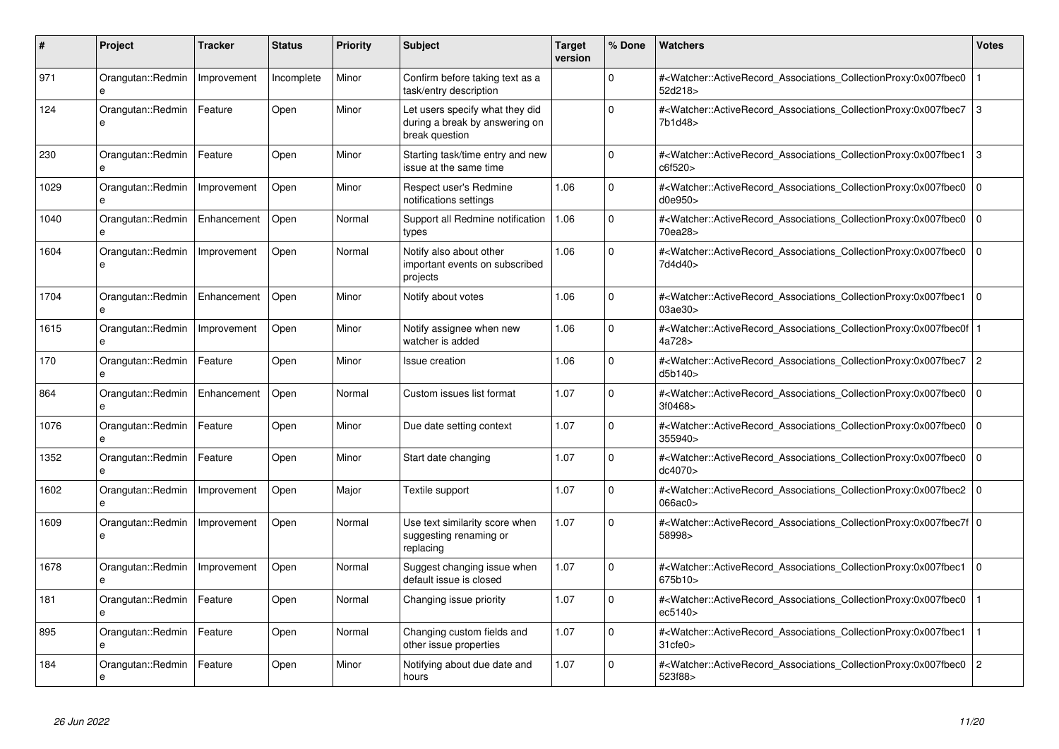| #    | <b>Project</b>                    | <b>Tracker</b> | <b>Status</b> | Priority | <b>Subject</b>                                                                      | <b>Target</b><br>version | % Done   | <b>Watchers</b>                                                                                                                                                         | Votes          |
|------|-----------------------------------|----------------|---------------|----------|-------------------------------------------------------------------------------------|--------------------------|----------|-------------------------------------------------------------------------------------------------------------------------------------------------------------------------|----------------|
| 971  | Orangutan::Redmin<br>$\mathbf{a}$ | Improvement    | Incomplete    | Minor    | Confirm before taking text as a<br>task/entry description                           |                          | $\Omega$ | # <watcher::activerecord associations="" collectionproxy:0x007fbec0<br="">52d218&gt;</watcher::activerecord>                                                            |                |
| 124  | Orangutan::Redmin<br>e            | Feature        | Open          | Minor    | Let users specify what they did<br>during a break by answering on<br>break question |                          | $\Omega$ | # <watcher::activerecord_associations_collectionproxy:0x007fbec7<br>7b1d48&gt;</watcher::activerecord_associations_collectionproxy:0x007fbec7<br>                       | Iз             |
| 230  | Orangutan::Redmin<br>e            | Feature        | Open          | Minor    | Starting task/time entry and new<br>issue at the same time                          |                          | $\Omega$ | # <watcher::activerecord associations="" collectionproxy:0x007fbec1<br="">c6f520&gt;</watcher::activerecord>                                                            | $\overline{3}$ |
| 1029 | Orangutan::Redmin                 | Improvement    | Open          | Minor    | Respect user's Redmine<br>notifications settings                                    | 1.06                     | $\Omega$ | # <watcher::activerecord_associations_collectionproxy:0x007fbec0<br>d0e950&gt;</watcher::activerecord_associations_collectionproxy:0x007fbec0<br>                       | l o            |
| 1040 | Orangutan::Redmin                 | Enhancement    | Open          | Normal   | Support all Redmine notification<br>types                                           | 1.06                     | $\Omega$ | # <watcher::activerecord_associations_collectionproxy:0x007fbec0<br>70ea28&gt;</watcher::activerecord_associations_collectionproxy:0x007fbec0<br>                       | $\overline{0}$ |
| 1604 | Orangutan::Redmin<br>e            | Improvement    | Open          | Normal   | Notify also about other<br>important events on subscribed<br>projects               | 1.06                     | $\Omega$ | # <watcher::activerecord_associations_collectionproxy:0x007fbec0<br>7d4d40&gt;</watcher::activerecord_associations_collectionproxy:0x007fbec0<br>                       | I٥             |
| 1704 | Orangutan::Redmin<br>e            | Enhancement    | Open          | Minor    | Notify about votes                                                                  | 1.06                     | $\Omega$ | # <watcher::activerecord_associations_collectionproxy:0x007fbec1<br>03ae30&gt;</watcher::activerecord_associations_collectionproxy:0x007fbec1<br>                       | $\overline{0}$ |
| 1615 | Orangutan::Redmin<br>e            | Improvement    | Open          | Minor    | Notify assignee when new<br>watcher is added                                        | 1.06                     | $\Omega$ | # <watcher::activerecord 1<br="" associations="" collectionproxy:0x007fbec0f=""  ="">4a728&gt;</watcher::activerecord>                                                  |                |
| 170  | Orangutan::Redmin                 | Feature        | Open          | Minor    | Issue creation                                                                      | 1.06                     | $\Omega$ | # <watcher::activerecord_associations_collectionproxy:0x007fbec7<br>d5b140&gt;</watcher::activerecord_associations_collectionproxy:0x007fbec7<br>                       | $\vert$ 2      |
| 864  | Orangutan::Redmin                 | Enhancement    | Open          | Normal   | Custom issues list format                                                           | 1.07                     | $\Omega$ | # <watcher::activerecord associations="" collectionproxy:0x007fbec0<br="">3f0468&gt;</watcher::activerecord>                                                            | $\overline{0}$ |
| 1076 | Orangutan::Redmin                 | Feature        | Open          | Minor    | Due date setting context                                                            | 1.07                     | $\Omega$ | # <watcher::activerecord associations="" collectionproxy:0x007fbec0<br="">355940&gt;</watcher::activerecord>                                                            | l 0            |
| 1352 | Orangutan::Redmin<br>e            | Feature        | Open          | Minor    | Start date changing                                                                 | 1.07                     | $\Omega$ | # <watcher::activerecord_associations_collectionproxy:0x007fbec0<br>dc4070&gt;</watcher::activerecord_associations_collectionproxy:0x007fbec0<br>                       | l o            |
| 1602 | Orangutan::Redmin<br>e            | Improvement    | Open          | Major    | Textile support                                                                     | 1.07                     | $\Omega$ | # <watcher::activerecord_associations_collectionproxy:0x007fbec2 0<br=""  ="">066ac0</watcher::activerecord_associations_collectionproxy:0x007fbec2>                    |                |
| 1609 | Orangutan::Redmin<br>e            | Improvement    | Open          | Normal   | Use text similarity score when<br>suggesting renaming or<br>replacing               | 1.07                     | U        | # <watcher::activerecord 0<br="" associations="" collectionproxy:0x007fbec7f=""  ="">58998&gt;</watcher::activerecord>                                                  |                |
| 1678 | Orangutan::Redmin                 | Improvement    | Open          | Normal   | Suggest changing issue when<br>default issue is closed                              | 1.07                     | $\Omega$ | # <watcher::activerecord_associations_collectionproxy:0x007fbec1<br>675b10&gt;</watcher::activerecord_associations_collectionproxy:0x007fbec1<br>                       | $\overline{0}$ |
| 181  | Orangutan::Redmin<br>e            | Feature        | Open          | Normal   | Changing issue priority                                                             | 1.07                     | $\Omega$ | # <watcher::activerecord_associations_collectionproxy:0x007fbec0<br>ec5140&gt;</watcher::activerecord_associations_collectionproxy:0x007fbec0<br>                       |                |
| 895  | Orangutan::Redmin<br>e            | Feature        | Open          | Normal   | Changing custom fields and<br>other issue properties                                | 1.07                     | 0        | # <watcher::activerecord_associations_collectionproxy:0x007fbec1<br><math>31</math>cfe<math>0</math></watcher::activerecord_associations_collectionproxy:0x007fbec1<br> |                |
| 184  | Orangutan::Redmin<br>e            | Feature        | Open          | Minor    | Notifying about due date and<br>hours                                               | 1.07                     | $\Omega$ | # <watcher::activerecord associations="" collectionproxy:0x007fbec0<br="">523f88&gt;</watcher::activerecord>                                                            | $\overline{2}$ |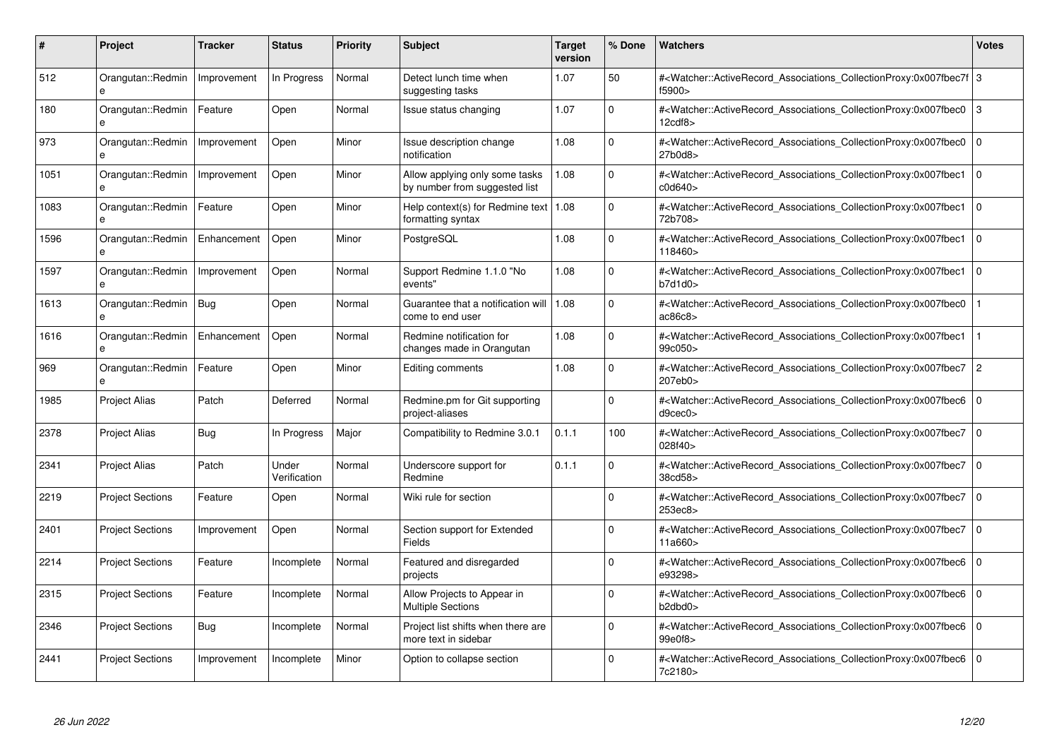| #    | Project                           | Tracker     | <b>Status</b>         | <b>Priority</b> | <b>Subject</b>                                                  | <b>Target</b><br>version | % Done      | <b>Watchers</b>                                                                                                                                          | <b>Votes</b>   |
|------|-----------------------------------|-------------|-----------------------|-----------------|-----------------------------------------------------------------|--------------------------|-------------|----------------------------------------------------------------------------------------------------------------------------------------------------------|----------------|
| 512  | Orangutan::Redmin                 | Improvement | In Progress           | Normal          | Detect lunch time when<br>suggesting tasks                      | 1.07                     | 50          | # <watcher::activerecord_associations_collectionproxy:0x007fbec7f 3<br="">f5900&gt;</watcher::activerecord_associations_collectionproxy:0x007fbec7f>     |                |
| 180  | Orangutan::Redmin<br>e            | Feature     | Open                  | Normal          | Issue status changing                                           | 1.07                     | $\mathbf 0$ | # <watcher::activerecord associations="" collectionproxy:0x007fbec0<br="">12cdf8</watcher::activerecord>                                                 | 3              |
| 973  | Orangutan::Redmin<br>e            | Improvement | Open                  | Minor           | Issue description change<br>notification                        | 1.08                     | $\Omega$    | # <watcher::activerecord_associations_collectionproxy:0x007fbec0<br>27b0d8&gt;</watcher::activerecord_associations_collectionproxy:0x007fbec0<br>        | $\Omega$       |
| 1051 | Orangutan::Redmin<br>$\mathbf{e}$ | Improvement | Open                  | Minor           | Allow applying only some tasks<br>by number from suggested list | 1.08                     | $\Omega$    | # <watcher::activerecord associations="" collectionproxy:0x007fbec1<br="">c0d640&gt;</watcher::activerecord>                                             | l O            |
| 1083 | Orangutan::Redmin                 | Feature     | Open                  | Minor           | Help context(s) for Redmine text   1.08<br>formatting syntax    |                          | $\Omega$    | # <watcher::activerecord_associations_collectionproxy:0x007fbec1<br>72b708&gt;</watcher::activerecord_associations_collectionproxy:0x007fbec1<br>        | $\Omega$       |
| 1596 | Orangutan::Redmin<br>$\mathbf{a}$ | Enhancement | Open                  | Minor           | PostgreSQL                                                      | 1.08                     | $\Omega$    | # <watcher::activerecord_associations_collectionproxy:0x007fbec1<br>118460&gt;</watcher::activerecord_associations_collectionproxy:0x007fbec1<br>        | $\overline{0}$ |
| 1597 | Orangutan::Redmin                 | Improvement | Open                  | Normal          | Support Redmine 1.1.0 "No<br>events"                            | 1.08                     | $\Omega$    | # <watcher::activerecord associations="" collectionproxy:0x007fbec1<br="">b7d1d0</watcher::activerecord>                                                 | $\Omega$       |
| 1613 | Orangutan::Redmin                 | <b>Bug</b>  | Open                  | Normal          | Guarantee that a notification will   1.08<br>come to end user   |                          | $\Omega$    | # <watcher::activerecord_associations_collectionproxy:0x007fbec0<br>ac86c8</watcher::activerecord_associations_collectionproxy:0x007fbec0<br>            |                |
| 1616 | Orangutan::Redmin<br>$\mathbf{a}$ | Enhancement | Open                  | Normal          | Redmine notification for<br>changes made in Orangutan           | 1.08                     | $\Omega$    | # <watcher::activerecord_associations_collectionproxy:0x007fbec1<br>99c050&gt;</watcher::activerecord_associations_collectionproxy:0x007fbec1<br>        |                |
| 969  | Orangutan::Redmin<br>e            | Feature     | Open                  | Minor           | Editing comments                                                | 1.08                     | $\Omega$    | # <watcher::activerecord associations="" collectionproxy:0x007fbec7<br="">207eb0&gt;</watcher::activerecord>                                             | l 2            |
| 1985 | <b>Project Alias</b>              | Patch       | Deferred              | Normal          | Redmine.pm for Git supporting<br>project-aliases                |                          | $\Omega$    | # <watcher::activerecord_associations_collectionproxy:0x007fbec6<br>d9cec0</watcher::activerecord_associations_collectionproxy:0x007fbec6<br>            | $\overline{0}$ |
| 2378 | Project Alias                     | Bug         | In Progress           | Major           | Compatibility to Redmine 3.0.1                                  | 0.1.1                    | 100         | # <watcher::activerecord associations="" collectionproxy:0x007fbec7<br="">028f40&gt;</watcher::activerecord>                                             | $\overline{0}$ |
| 2341 | <b>Project Alias</b>              | Patch       | Under<br>Verification | Normal          | Underscore support for<br>Redmine                               | 0.1.1                    | $\Omega$    | # <watcher::activerecord associations="" collectionproxy:0x007fbec7<br="">38cd58&gt;</watcher::activerecord>                                             | l 0            |
| 2219 | <b>Project Sections</b>           | Feature     | Open                  | Normal          | Wiki rule for section                                           |                          | $\Omega$    | # <watcher::activerecord_associations_collectionproxy:0x007fbec7<br>253ec8&gt;</watcher::activerecord_associations_collectionproxy:0x007fbec7<br>        | $\overline{0}$ |
| 2401 | <b>Project Sections</b>           | Improvement | Open                  | Normal          | Section support for Extended<br>Fields                          |                          | $\Omega$    | # <watcher::activerecord associations="" collectionproxy:0x007fbec7<br="">11a660&gt;</watcher::activerecord>                                             | l O            |
| 2214 | <b>Project Sections</b>           | Feature     | Incomplete            | Normal          | Featured and disregarded<br>projects                            |                          | $\Omega$    | # <watcher::activerecord_associations_collectionproxy:0x007fbec6 0<br=""  ="">e93298&gt;</watcher::activerecord_associations_collectionproxy:0x007fbec6> |                |
| 2315 | <b>Project Sections</b>           | Feature     | Incomplete            | Normal          | Allow Projects to Appear in<br><b>Multiple Sections</b>         |                          | $\Omega$    | # <watcher::activerecord_associations_collectionproxy:0x007fbec6 0<br=""  ="">b2dbd0&gt;</watcher::activerecord_associations_collectionproxy:0x007fbec6> |                |
| 2346 | <b>Project Sections</b>           | Bug         | Incomplete            | Normal          | Project list shifts when there are<br>more text in sidebar      |                          | $\mathbf 0$ | # <watcher::activerecord 0<br="" associations="" collectionproxy:0x007fbec6=""  ="">99e0f8&gt;</watcher::activerecord>                                   |                |
| 2441 | <b>Project Sections</b>           | Improvement | Incomplete            | Minor           | Option to collapse section                                      |                          | $\Omega$    | # <watcher::activerecord associations="" collectionproxy:0x007fbec6<br="">7c2180&gt;</watcher::activerecord>                                             | l o            |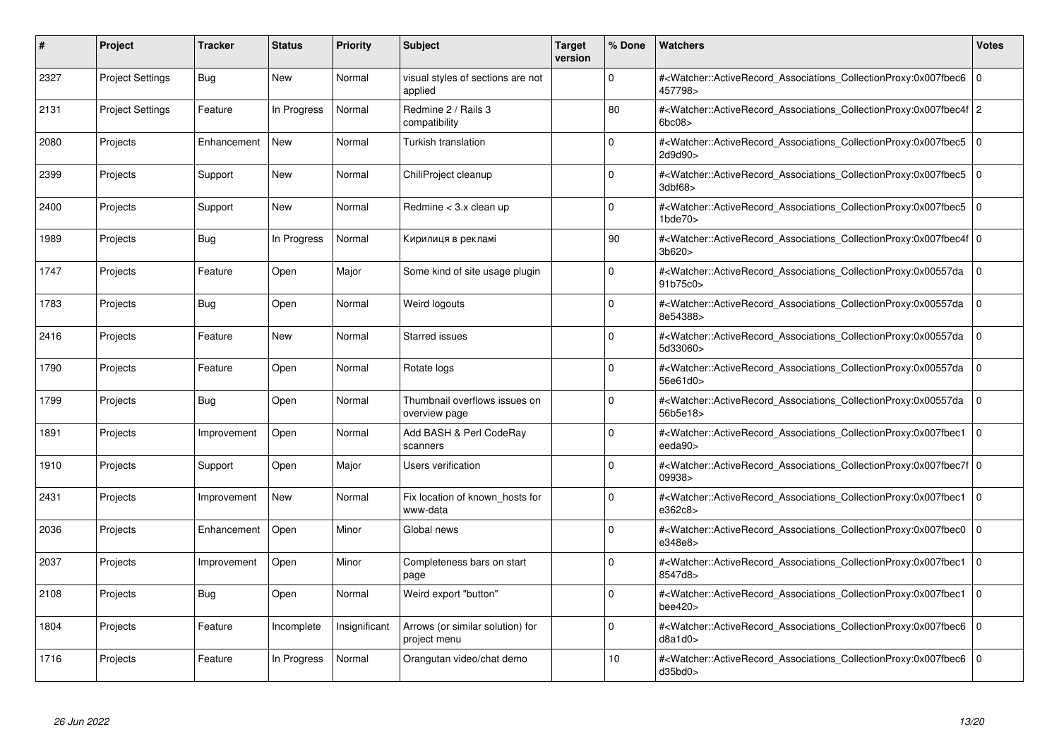| #    | Project                 | <b>Tracker</b> | <b>Status</b> | <b>Priority</b> | <b>Subject</b>                                   | <b>Target</b><br>version | % Done      | <b>Watchers</b>                                                                                                                                                               | <b>Votes</b> |
|------|-------------------------|----------------|---------------|-----------------|--------------------------------------------------|--------------------------|-------------|-------------------------------------------------------------------------------------------------------------------------------------------------------------------------------|--------------|
| 2327 | <b>Project Settings</b> | Bug            | New           | Normal          | visual styles of sections are not<br>applied     |                          | $\Omega$    | # <watcher::activerecord associations="" collectionproxy:0x007fbec6<br="">457798&gt;</watcher::activerecord>                                                                  | $\mathbf 0$  |
| 2131 | <b>Project Settings</b> | Feature        | In Progress   | Normal          | Redmine 2 / Rails 3<br>compatibility             |                          | 80          | # <watcher::activerecord 2<br="" associations="" collectionproxy:0x007fbec4f="">6bc08</watcher::activerecord>                                                                 |              |
| 2080 | Projects                | Enhancement    | <b>New</b>    | Normal          | <b>Turkish translation</b>                       |                          | $\Omega$    | # <watcher::activerecord_associations_collectionproxy:0x007fbec5<br>2d9d90&gt;</watcher::activerecord_associations_collectionproxy:0x007fbec5<br>                             | $\Omega$     |
| 2399 | Projects                | Support        | <b>New</b>    | Normal          | ChiliProject cleanup                             |                          | $\Omega$    | # <watcher::activerecord_associations_collectionproxy:0x007fbec5 0<br=""><math>3</math>dbf68<math>&gt;</math></watcher::activerecord_associations_collectionproxy:0x007fbec5> |              |
| 2400 | Projects                | Support        | New           | Normal          | Redmine $<$ 3.x clean up                         |                          | $\Omega$    | # <watcher::activerecord_associations_collectionproxy:0x007fbec5  <br="">1bde70</watcher::activerecord_associations_collectionproxy:0x007fbec5>                               | $\mathbf 0$  |
| 1989 | Projects                | <b>Bug</b>     | In Progress   | Normal          | Кирилиця в рекламі                               |                          | 90          | # <watcher::activerecord_associations_collectionproxy:0x007fbec4f 0<br=""  ="">3b620&gt;</watcher::activerecord_associations_collectionproxy:0x007fbec4f>                     |              |
| 1747 | Projects                | Feature        | Open          | Major           | Some kind of site usage plugin                   |                          | $\Omega$    | # <watcher::activerecord associations="" collectionproxy:0x00557da<br="">91b75c0&gt;</watcher::activerecord>                                                                  | $\mathbf 0$  |
| 1783 | Projects                | <b>Bug</b>     | Open          | Normal          | Weird logouts                                    |                          | $\Omega$    | # <watcher::activerecord_associations_collectionproxy:0x00557da<br>8e54388&gt;</watcher::activerecord_associations_collectionproxy:0x00557da<br>                              | $\Omega$     |
| 2416 | Projects                | Feature        | <b>New</b>    | Normal          | <b>Starred issues</b>                            |                          | $\Omega$    | # <watcher::activerecord associations="" collectionproxy:0x00557da<br="">5d33060&gt;</watcher::activerecord>                                                                  | $\Omega$     |
| 1790 | Projects                | Feature        | Open          | Normal          | Rotate logs                                      |                          | $\Omega$    | # <watcher::activerecord associations="" collectionproxy:0x00557da<br="">56e61d0&gt;</watcher::activerecord>                                                                  | $\mathbf 0$  |
| 1799 | Projects                | Bug            | Open          | Normal          | Thumbnail overflows issues on<br>overview page   |                          | $\Omega$    | # <watcher::activerecord_associations_collectionproxy:0x00557da<br>56b5e18&gt;</watcher::activerecord_associations_collectionproxy:0x00557da<br>                              | $\Omega$     |
| 1891 | Projects                | Improvement    | Open          | Normal          | Add BASH & Perl CodeRay<br>scanners              |                          | $\Omega$    | # <watcher::activerecord associations="" collectionproxy:0x007fbec1<br="">eeda90&gt;</watcher::activerecord>                                                                  | $\Omega$     |
| 1910 | Projects                | Support        | Open          | Major           | Users verification                               |                          | $\Omega$    | # <watcher::activerecord 0<br="" associations="" collectionproxy:0x007fbec7f=""  ="">09938&gt;</watcher::activerecord>                                                        |              |
| 2431 | Projects                | Improvement    | <b>New</b>    | Normal          | Fix location of known hosts for<br>www-data      |                          | $\Omega$    | # <watcher::activerecord_associations_collectionproxy:0x007fbec1<br>e362c8&gt;</watcher::activerecord_associations_collectionproxy:0x007fbec1<br>                             | $\Omega$     |
| 2036 | Projects                | Enhancement    | Open          | Minor           | Global news                                      |                          | $\Omega$    | # <watcher::activerecord associations="" collectionproxy:0x007fbec0<br="">e348e8&gt;</watcher::activerecord>                                                                  | $\mathbf 0$  |
| 2037 | Projects                | Improvement    | Open          | Minor           | Completeness bars on start<br>page               |                          | $\Omega$    | # <watcher::activerecord_associations_collectionproxy:0x007fbec1<br>8547d8&gt;</watcher::activerecord_associations_collectionproxy:0x007fbec1<br>                             | $\mathbf 0$  |
| 2108 | Projects                | <b>Bug</b>     | Open          | Normal          | Weird export "button"                            |                          | $\Omega$    | # <watcher::activerecord_associations_collectionproxy:0x007fbec1<br>bee420&gt;</watcher::activerecord_associations_collectionproxy:0x007fbec1<br>                             | $\Omega$     |
| 1804 | Projects                | Feature        | Incomplete    | Insignificant   | Arrows (or similar solution) for<br>project menu |                          | $\mathbf 0$ | # <watcher::activerecord associations="" collectionproxy:0x007fbec6<br="">d8a1d0</watcher::activerecord>                                                                      | $\mathbf 0$  |
| 1716 | Projects                | Feature        | In Progress   | Normal          | Orangutan video/chat demo                        |                          | 10          | # <watcher::activerecord associations="" collectionproxy:0x007fbec6=""  <br="">d35bd0</watcher::activerecord>                                                                 | $\mathbf 0$  |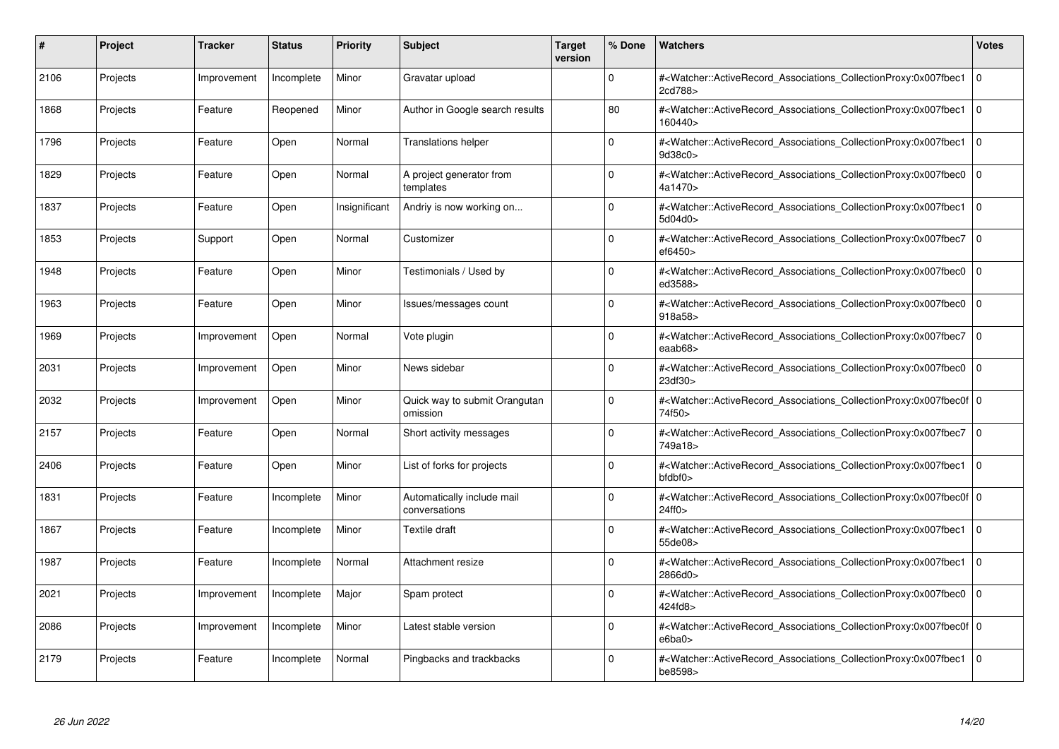| #    | Project  | <b>Tracker</b> | <b>Status</b> | <b>Priority</b> | <b>Subject</b>                              | <b>Target</b><br>version | % Done      | <b>Watchers</b>                                                                                                                                           | <b>Votes</b> |
|------|----------|----------------|---------------|-----------------|---------------------------------------------|--------------------------|-------------|-----------------------------------------------------------------------------------------------------------------------------------------------------------|--------------|
| 2106 | Projects | Improvement    | Incomplete    | Minor           | Gravatar upload                             |                          | $\Omega$    | # <watcher::activerecord associations="" collectionproxy:0x007fbec1<br="">2cd788&gt;</watcher::activerecord>                                              | $\mathbf 0$  |
| 1868 | Projects | Feature        | Reopened      | Minor           | Author in Google search results             |                          | 80          | # <watcher::activerecord associations="" collectionproxy:0x007fbec1<br="">160440&gt;</watcher::activerecord>                                              | $\mathbf 0$  |
| 1796 | Projects | Feature        | Open          | Normal          | <b>Translations helper</b>                  |                          | $\Omega$    | # <watcher::activerecord_associations_collectionproxy:0x007fbec1<br>9d38c0&gt;</watcher::activerecord_associations_collectionproxy:0x007fbec1<br>         | $\Omega$     |
| 1829 | Projects | Feature        | Open          | Normal          | A project generator from<br>templates       |                          | $\Omega$    | # <watcher::activerecord_associations_collectionproxy:0x007fbec0 0<br="">4a1470&gt;</watcher::activerecord_associations_collectionproxy:0x007fbec0>       |              |
| 1837 | Projects | Feature        | Open          | Insignificant   | Andriy is now working on                    |                          | $\Omega$    | # <watcher::activerecord_associations_collectionproxy:0x007fbec1<br>5d04d0&gt;</watcher::activerecord_associations_collectionproxy:0x007fbec1<br>         | $\mathbf 0$  |
| 1853 | Projects | Support        | Open          | Normal          | Customizer                                  |                          | $\Omega$    | # <watcher::activerecord_associations_collectionproxy:0x007fbec7<br>ef6450&gt;</watcher::activerecord_associations_collectionproxy:0x007fbec7<br>         | $\Omega$     |
| 1948 | Projects | Feature        | Open          | Minor           | Testimonials / Used by                      |                          | $\Omega$    | # <watcher::activerecord associations="" collectionproxy:0x007fbec0<br="">ed3588&gt;</watcher::activerecord>                                              | $\mathbf 0$  |
| 1963 | Projects | Feature        | Open          | Minor           | Issues/messages count                       |                          | $\Omega$    | # <watcher::activerecord_associations_collectionproxy:0x007fbec0<br>918a58&gt;</watcher::activerecord_associations_collectionproxy:0x007fbec0<br>         | $\mathbf 0$  |
| 1969 | Projects | Improvement    | Open          | Normal          | Vote plugin                                 |                          | $\Omega$    | # <watcher::activerecord associations="" collectionproxy:0x007fbec7<br="">eaab68&gt;</watcher::activerecord>                                              | $\mathbf 0$  |
| 2031 | Projects | Improvement    | Open          | Minor           | News sidebar                                |                          | $\Omega$    | # <watcher::activerecord associations="" collectionproxy:0x007fbec0<br="">23df30&gt;</watcher::activerecord>                                              | $\mathbf 0$  |
| 2032 | Projects | Improvement    | Open          | Minor           | Quick way to submit Orangutan<br>omission   |                          | $\Omega$    | # <watcher::activerecord_associations_collectionproxy:0x007fbec0f 0<br=""  ="">74f50&gt;</watcher::activerecord_associations_collectionproxy:0x007fbec0f> |              |
| 2157 | Projects | Feature        | Open          | Normal          | Short activity messages                     |                          | $\Omega$    | # <watcher::activerecord_associations_collectionproxy:0x007fbec7 0<br=""  ="">749a18&gt;</watcher::activerecord_associations_collectionproxy:0x007fbec7>  |              |
| 2406 | Projects | Feature        | Open          | Minor           | List of forks for projects                  |                          | $\Omega$    | # <watcher::activerecord associations="" collectionproxy:0x007fbec1<br=""><math>b</math>fd<math>b</math>f<math>0</math></watcher::activerecord>           | $\mathbf 0$  |
| 1831 | Projects | Feature        | Incomplete    | Minor           | Automatically include mail<br>conversations |                          | $\Omega$    | # <watcher::activerecord_associations_collectionproxy:0x007fbec0f 0<br=""  ="">24ff0</watcher::activerecord_associations_collectionproxy:0x007fbec0f>     |              |
| 1867 | Projects | Feature        | Incomplete    | Minor           | Textile draft                               |                          | $\Omega$    | # <watcher::activerecord associations="" collectionproxy:0x007fbec1<br="">55de08&gt;</watcher::activerecord>                                              | $\mathbf 0$  |
| 1987 | Projects | Feature        | Incomplete    | Normal          | Attachment resize                           |                          | $\Omega$    | # <watcher::activerecord_associations_collectionproxy:0x007fbec1<br>2866d0&gt;</watcher::activerecord_associations_collectionproxy:0x007fbec1<br>         | $\mathbf 0$  |
| 2021 | Projects | Improvement    | Incomplete    | Major           | Spam protect                                |                          | $\Omega$    | # <watcher::activerecord_associations_collectionproxy:0x007fbec0  <br="">424fd8&gt;</watcher::activerecord_associations_collectionproxy:0x007fbec0>       | $\mathbf 0$  |
| 2086 | Projects | Improvement    | Incomplete    | Minor           | Latest stable version                       |                          | $\mathbf 0$ | # <watcher::activerecord 0<br="" associations="" collectionproxy:0x007fbec0f=""  ="">e6ba0</watcher::activerecord>                                        |              |
| 2179 | Projects | Feature        | Incomplete    | Normal          | Pingbacks and trackbacks                    |                          | $\Omega$    | # <watcher::activerecord associations="" collectionproxy:0x007fbec1<br="">be8598&gt;</watcher::activerecord>                                              | $\Omega$     |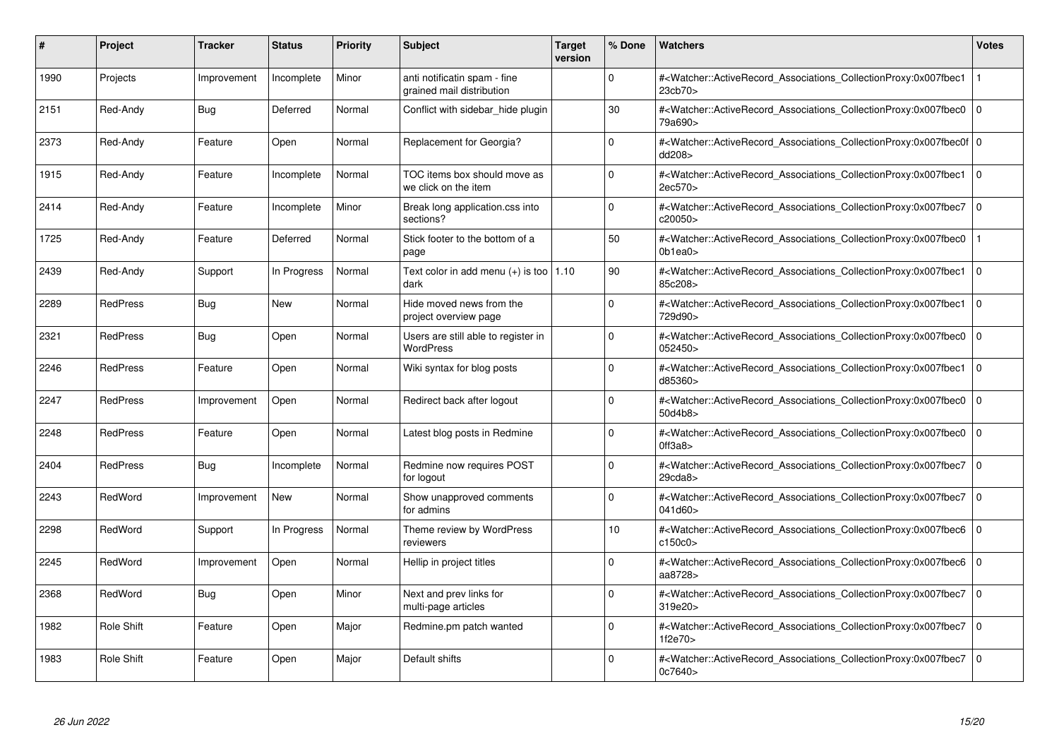| #    | Project           | <b>Tracker</b> | <b>Status</b> | <b>Priority</b> | <b>Subject</b>                                            | <b>Target</b><br>version | % Done      | <b>Watchers</b>                                                                                                                                           | <b>Votes</b> |
|------|-------------------|----------------|---------------|-----------------|-----------------------------------------------------------|--------------------------|-------------|-----------------------------------------------------------------------------------------------------------------------------------------------------------|--------------|
| 1990 | Projects          | Improvement    | Incomplete    | Minor           | anti notificatin spam - fine<br>grained mail distribution |                          | $\Omega$    | # <watcher::activerecord associations="" collectionproxy:0x007fbec1<br="">23cb70&gt;</watcher::activerecord>                                              |              |
| 2151 | Red-Andy          | Bug            | Deferred      | Normal          | Conflict with sidebar hide plugin                         |                          | 30          | # <watcher::activerecord 0<br="" associations="" collectionproxy:0x007fbec0=""  ="">79a690&gt;</watcher::activerecord>                                    |              |
| 2373 | Red-Andy          | Feature        | Open          | Normal          | Replacement for Georgia?                                  |                          | $\Omega$    | # <watcher::activerecord_associations_collectionproxy:0x007fbec0f 0<br=""  ="">dd208&gt;</watcher::activerecord_associations_collectionproxy:0x007fbec0f> |              |
| 1915 | Red-Andy          | Feature        | Incomplete    | Normal          | TOC items box should move as<br>we click on the item      |                          | $\Omega$    | # <watcher::activerecord_associations_collectionproxy:0x007fbec1 0<br="">2ec570&gt;</watcher::activerecord_associations_collectionproxy:0x007fbec1>       |              |
| 2414 | Red-Andy          | Feature        | Incomplete    | Minor           | Break long application.css into<br>sections?              |                          | $\Omega$    | # <watcher::activerecord_associations_collectionproxy:0x007fbec7  <br="">c20050&gt;</watcher::activerecord_associations_collectionproxy:0x007fbec7>       | $\mathbf 0$  |
| 1725 | Red-Andy          | Feature        | Deferred      | Normal          | Stick footer to the bottom of a<br>page                   |                          | 50          | # <watcher::activerecord_associations_collectionproxy:0x007fbec0<br>0b1ea0&gt;</watcher::activerecord_associations_collectionproxy:0x007fbec0<br>         |              |
| 2439 | Red-Andy          | Support        | In Progress   | Normal          | Text color in add menu $(+)$ is too   1.10<br>dark        |                          | 90          | # <watcher::activerecord associations="" collectionproxy:0x007fbec1<br="">85c208&gt;</watcher::activerecord>                                              | $\mathbf 0$  |
| 2289 | <b>RedPress</b>   | <b>Bug</b>     | New           | Normal          | Hide moved news from the<br>project overview page         |                          | $\Omega$    | # <watcher::activerecord_associations_collectionproxy:0x007fbec1<br>729d90&gt;</watcher::activerecord_associations_collectionproxy:0x007fbec1<br>         | $\mathbf 0$  |
| 2321 | <b>RedPress</b>   | <b>Bug</b>     | Open          | Normal          | Users are still able to register in<br>WordPress          |                          | $\Omega$    | # <watcher::activerecord associations="" collectionproxy:0x007fbec0<br="">052450&gt;</watcher::activerecord>                                              | $\mathbf 0$  |
| 2246 | <b>RedPress</b>   | Feature        | Open          | Normal          | Wiki syntax for blog posts                                |                          | $\Omega$    | # <watcher::activerecord associations="" collectionproxy:0x007fbec1<br="">d85360&gt;</watcher::activerecord>                                              | $\mathbf 0$  |
| 2247 | <b>RedPress</b>   | Improvement    | Open          | Normal          | Redirect back after logout                                |                          | $\Omega$    | # <watcher::activerecord_associations_collectionproxy:0x007fbec0<br>50d4b8&gt;</watcher::activerecord_associations_collectionproxy:0x007fbec0<br>         | $\Omega$     |
| 2248 | <b>RedPress</b>   | Feature        | Open          | Normal          | Latest blog posts in Redmine                              |                          | $\Omega$    | # <watcher::activerecord associations="" collectionproxy:0x007fbec0<br="">0ff3a8</watcher::activerecord>                                                  | $\mathbf 0$  |
| 2404 | <b>RedPress</b>   | <b>Bug</b>     | Incomplete    | Normal          | Redmine now requires POST<br>for logout                   |                          | $\Omega$    | # <watcher::activerecord associations="" collectionproxy:0x007fbec7<br="">29cda8</watcher::activerecord>                                                  | $\mathbf 0$  |
| 2243 | RedWord           | Improvement    | <b>New</b>    | Normal          | Show unapproved comments<br>for admins                    |                          | $\Omega$    | # <watcher::activerecord_associations_collectionproxy:0x007fbec7<br>041d60&gt;</watcher::activerecord_associations_collectionproxy:0x007fbec7<br>         | $\Omega$     |
| 2298 | RedWord           | Support        | In Progress   | Normal          | Theme review by WordPress<br>reviewers                    |                          | 10          | # <watcher::activerecord associations="" collectionproxy:0x007fbec6=""  <br="">c150c0</watcher::activerecord>                                             | $\mathbf 0$  |
| 2245 | RedWord           | Improvement    | Open          | Normal          | Hellip in project titles                                  |                          | $\Omega$    | # <watcher::activerecord_associations_collectionproxy:0x007fbec6  <br="">aa8728&gt;</watcher::activerecord_associations_collectionproxy:0x007fbec6>       | $\mathbf 0$  |
| 2368 | RedWord           | <b>Bug</b>     | Open          | Minor           | Next and prev links for<br>multi-page articles            |                          | $\Omega$    | # <watcher::activerecord_associations_collectionproxy:0x007fbec7<br>319e20&gt;</watcher::activerecord_associations_collectionproxy:0x007fbec7<br>         | $\mathbf 0$  |
| 1982 | <b>Role Shift</b> | Feature        | Open          | Major           | Redmine.pm patch wanted                                   |                          | $\mathbf 0$ | # <watcher::activerecord associations="" collectionproxy:0x007fbec7<br="">1f2e70&gt;</watcher::activerecord>                                              | $\mathbf 0$  |
| 1983 | Role Shift        | Feature        | Open          | Major           | Default shifts                                            |                          | $\Omega$    | # <watcher::activerecord associations="" collectionproxy:0x007fbec7<br="">0c7640&gt;</watcher::activerecord>                                              | $\mathbf 0$  |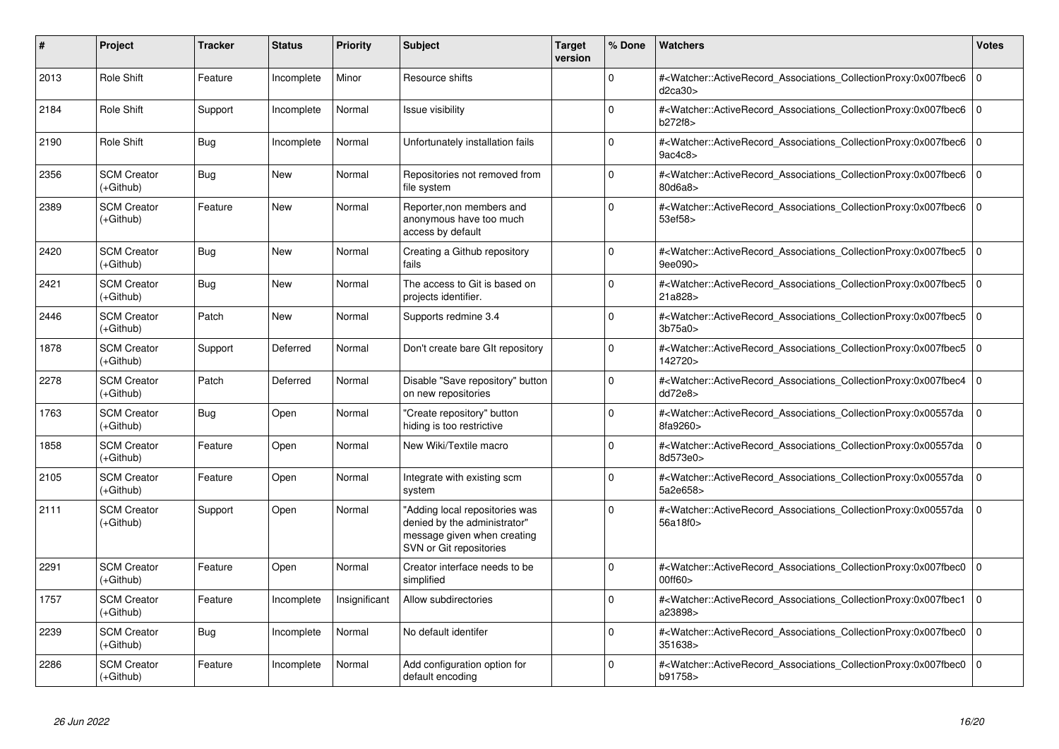| #    | Project                           | <b>Tracker</b> | <b>Status</b> | <b>Priority</b> | <b>Subject</b>                                                                                                           | <b>Target</b><br>version | % Done   | <b>Watchers</b>                                                                                                                                   | <b>Votes</b> |
|------|-----------------------------------|----------------|---------------|-----------------|--------------------------------------------------------------------------------------------------------------------------|--------------------------|----------|---------------------------------------------------------------------------------------------------------------------------------------------------|--------------|
| 2013 | Role Shift                        | Feature        | Incomplete    | Minor           | Resource shifts                                                                                                          |                          | $\Omega$ | # <watcher::activerecord_associations_collectionproxy:0x007fbec6<br>d2ca30&gt;</watcher::activerecord_associations_collectionproxy:0x007fbec6<br> | $\mathbf 0$  |
| 2184 | Role Shift                        | Support        | Incomplete    | Normal          | Issue visibilitv                                                                                                         |                          | 0        | # <watcher::activerecord associations="" collectionproxy:0x007fbec6<br="">b272f8&gt;</watcher::activerecord>                                      | $\Omega$     |
| 2190 | Role Shift                        | Bug            | Incomplete    | Normal          | Unfortunately installation fails                                                                                         |                          | 0        | # <watcher::activerecord associations="" collectionproxy:0x007fbec6<br="">9ac4c8&gt;</watcher::activerecord>                                      | $\mathbf 0$  |
| 2356 | <b>SCM Creator</b><br>$(+Github)$ | Bug            | New           | Normal          | Repositories not removed from<br>file system                                                                             |                          | $\Omega$ | # <watcher::activerecord associations="" collectionproxy:0x007fbec6<br="">80d6a8&gt;</watcher::activerecord>                                      | $\mathbf 0$  |
| 2389 | <b>SCM Creator</b><br>(+Github)   | Feature        | New           | Normal          | Reporter, non members and<br>anonymous have too much<br>access by default                                                |                          | $\Omega$ | # <watcher::activerecord associations="" collectionproxy:0x007fbec6<br="">53ef58&gt;</watcher::activerecord>                                      | $\Omega$     |
| 2420 | <b>SCM Creator</b><br>(+Github)   | Bug            | New           | Normal          | Creating a Github repository<br>fails                                                                                    |                          | $\Omega$ | # <watcher::activerecord associations="" collectionproxy:0x007fbec5<br="">9ee090&gt;</watcher::activerecord>                                      | $\mathbf 0$  |
| 2421 | <b>SCM Creator</b><br>(+Github)   | Bug            | <b>New</b>    | Normal          | The access to Git is based on<br>projects identifier.                                                                    |                          | $\Omega$ | # <watcher::activerecord associations="" collectionproxy:0x007fbec5<br="">21a828&gt;</watcher::activerecord>                                      | $\Omega$     |
| 2446 | <b>SCM Creator</b><br>$(+Github)$ | Patch          | <b>New</b>    | Normal          | Supports redmine 3.4                                                                                                     |                          | 0        | # <watcher::activerecord associations="" collectionproxy:0x007fbec5<br="">3b75a0</watcher::activerecord>                                          | $\mathbf 0$  |
| 1878 | <b>SCM Creator</b><br>$(+Github)$ | Support        | Deferred      | Normal          | Don't create bare GIt repository                                                                                         |                          | $\Omega$ | # <watcher::activerecord_associations_collectionproxy:0x007fbec5<br>142720&gt;</watcher::activerecord_associations_collectionproxy:0x007fbec5<br> | $\mathbf 0$  |
| 2278 | <b>SCM Creator</b><br>(+Github)   | Patch          | Deferred      | Normal          | Disable "Save repository" button<br>on new repositories                                                                  |                          | $\Omega$ | # <watcher::activerecord_associations_collectionproxy:0x007fbec4<br>dd72e8&gt;</watcher::activerecord_associations_collectionproxy:0x007fbec4<br> | $\Omega$     |
| 1763 | <b>SCM Creator</b><br>(+Github)   | Bug            | Open          | Normal          | 'Create repository" button<br>hiding is too restrictive                                                                  |                          | $\Omega$ | # <watcher::activerecord associations="" collectionproxy:0x00557da<br="">8fa9260&gt;</watcher::activerecord>                                      | $\Omega$     |
| 1858 | <b>SCM Creator</b><br>(+Github)   | Feature        | Open          | Normal          | New Wiki/Textile macro                                                                                                   |                          | $\Omega$ | # <watcher::activerecord associations="" collectionproxy:0x00557da<br="">8d573e0&gt;</watcher::activerecord>                                      | $\Omega$     |
| 2105 | <b>SCM Creator</b><br>(+Github)   | Feature        | Open          | Normal          | Integrate with existing scm<br>system                                                                                    |                          | $\Omega$ | # <watcher::activerecord_associations_collectionproxy:0x00557da<br>5a2e658&gt;</watcher::activerecord_associations_collectionproxy:0x00557da<br>  | $\mathbf 0$  |
| 2111 | <b>SCM Creator</b><br>(+Github)   | Support        | Open          | Normal          | 'Adding local repositories was<br>denied by the administrator"<br>message given when creating<br>SVN or Git repositories |                          | 0        | # <watcher::activerecord associations="" collectionproxy:0x00557da<br="">56a18f0&gt;</watcher::activerecord>                                      | $\mathbf 0$  |
| 2291 | <b>SCM Creator</b><br>(+Github)   | Feature        | Open          | Normal          | Creator interface needs to be<br>simplified                                                                              |                          | $\Omega$ | # <watcher::activerecord associations="" collectionproxy:0x007fbec0<br="">00ff60&gt;</watcher::activerecord>                                      | $\Omega$     |
| 1757 | <b>SCM Creator</b><br>(+Github)   | Feature        | Incomplete    | Insignificant   | Allow subdirectories                                                                                                     |                          | $\Omega$ | # <watcher::activerecord associations="" collectionproxy:0x007fbec1<br="">a23898&gt;</watcher::activerecord>                                      | $\Omega$     |
| 2239 | <b>SCM Creator</b><br>(+Github)   | <b>Bug</b>     | Incomplete    | Normal          | No default identifer                                                                                                     |                          | $\Omega$ | # <watcher::activerecord associations="" collectionproxy:0x007fbec0<br="">351638&gt;</watcher::activerecord>                                      | $\Omega$     |
| 2286 | <b>SCM Creator</b><br>$(+Github)$ | Feature        | Incomplete    | Normal          | Add configuration option for<br>default encoding                                                                         |                          | $\Omega$ | # <watcher::activerecord_associations_collectionproxy:0x007fbec0<br>b91758&gt;</watcher::activerecord_associations_collectionproxy:0x007fbec0<br> | $\Omega$     |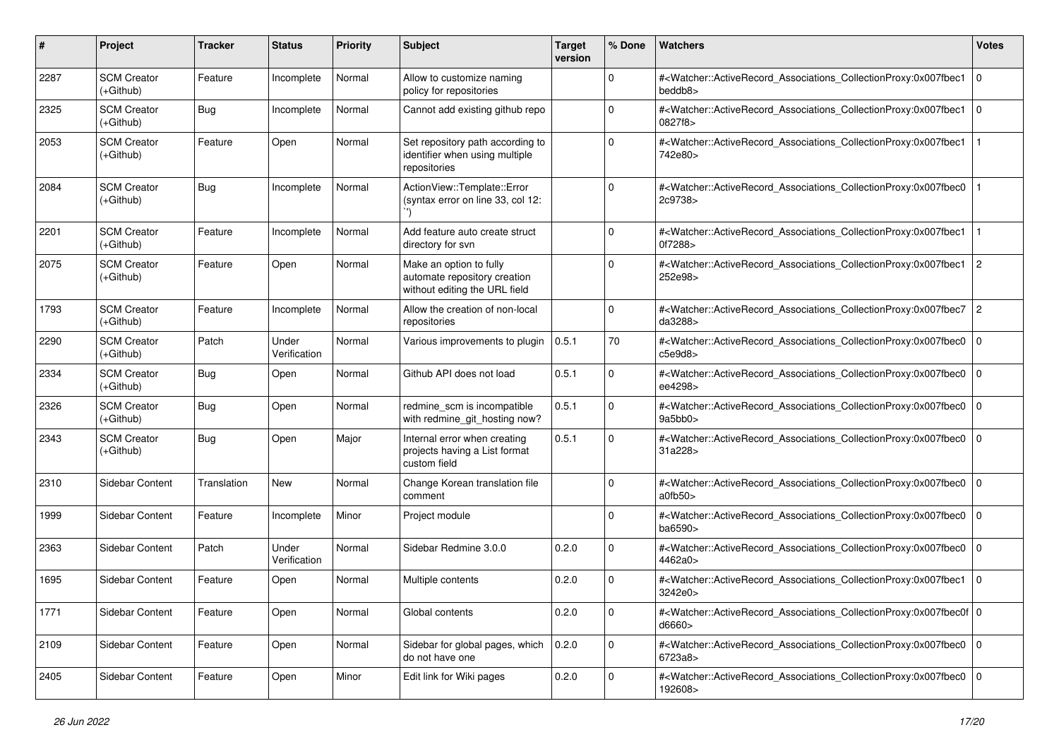| #    | Project                           | Tracker     | <b>Status</b>         | <b>Priority</b> | <b>Subject</b>                                                                           | <b>Target</b><br>version | % Done       | <b>Watchers</b>                                                                                                                                           | <b>Votes</b>   |
|------|-----------------------------------|-------------|-----------------------|-----------------|------------------------------------------------------------------------------------------|--------------------------|--------------|-----------------------------------------------------------------------------------------------------------------------------------------------------------|----------------|
| 2287 | <b>SCM Creator</b><br>(+Github)   | Feature     | Incomplete            | Normal          | Allow to customize naming<br>policy for repositories                                     |                          | $\mathbf 0$  | # <watcher::activerecord_associations_collectionproxy:0x007fbec1<br>beddb8&gt;</watcher::activerecord_associations_collectionproxy:0x007fbec1<br>         | $\Omega$       |
| 2325 | <b>SCM Creator</b><br>(+Github)   | <b>Bug</b>  | Incomplete            | Normal          | Cannot add existing github repo                                                          |                          | $\mathbf 0$  | # <watcher::activerecord_associations_collectionproxy:0x007fbec1<br>0827f8&gt;</watcher::activerecord_associations_collectionproxy:0x007fbec1<br>         | l 0            |
| 2053 | <b>SCM Creator</b><br>$(+Github)$ | Feature     | Open                  | Normal          | Set repository path according to<br>identifier when using multiple<br>repositories       |                          | 0            | # <watcher::activerecord_associations_collectionproxy:0x007fbec1<br>742e80&gt;</watcher::activerecord_associations_collectionproxy:0x007fbec1<br>         |                |
| 2084 | <b>SCM Creator</b><br>$(+Github)$ | Bug         | Incomplete            | Normal          | ActionView::Template::Error<br>(syntax error on line 33, col 12:                         |                          | 0            | # <watcher::activerecord_associations_collectionproxy:0x007fbec0<br>2c9738&gt;</watcher::activerecord_associations_collectionproxy:0x007fbec0<br>         |                |
| 2201 | <b>SCM Creator</b><br>$(+Github)$ | Feature     | Incomplete            | Normal          | Add feature auto create struct<br>directory for syn                                      |                          | $\Omega$     | # <watcher::activerecord_associations_collectionproxy:0x007fbec1<br>0f7288&gt;</watcher::activerecord_associations_collectionproxy:0x007fbec1<br>         |                |
| 2075 | <b>SCM Creator</b><br>$(+Github)$ | Feature     | Open                  | Normal          | Make an option to fully<br>automate repository creation<br>without editing the URL field |                          | $\Omega$     | # <watcher::activerecord associations="" collectionproxy:0x007fbec1<br="">252e98&gt;</watcher::activerecord>                                              | $\overline{2}$ |
| 1793 | <b>SCM Creator</b><br>$(+Github)$ | Feature     | Incomplete            | Normal          | Allow the creation of non-local<br>repositories                                          |                          | $\mathbf 0$  | # <watcher::activerecord_associations_collectionproxy:0x007fbec7<br>da3288&gt;</watcher::activerecord_associations_collectionproxy:0x007fbec7<br>         | $\overline{c}$ |
| 2290 | <b>SCM Creator</b><br>(+Github)   | Patch       | Under<br>Verification | Normal          | Various improvements to plugin                                                           | 0.5.1                    | 70           | # <watcher::activerecord_associations_collectionproxy:0x007fbec0<br>c5e9d8</watcher::activerecord_associations_collectionproxy:0x007fbec0<br>             | l 0            |
| 2334 | <b>SCM Creator</b><br>(+Github)   | Bug         | Open                  | Normal          | Github API does not load                                                                 | 0.5.1                    | $\mathbf 0$  | # <watcher::activerecord_associations_collectionproxy:0x007fbec0<br>ee4298&gt;</watcher::activerecord_associations_collectionproxy:0x007fbec0<br>         | l 0            |
| 2326 | <b>SCM Creator</b><br>$(+Github)$ | Bug         | Open                  | Normal          | redmine scm is incompatible<br>with redmine_git_hosting now?                             | 0.5.1                    | $\mathbf 0$  | # <watcher::activerecord_associations_collectionproxy:0x007fbec0<br>9a5bb0</watcher::activerecord_associations_collectionproxy:0x007fbec0<br>             | $\Omega$       |
| 2343 | <b>SCM Creator</b><br>$(+Github)$ | Bug         | Open                  | Major           | Internal error when creating<br>projects having a List format<br>custom field            | 0.5.1                    | $\mathbf 0$  | # <watcher::activerecord associations="" collectionproxy:0x007fbec0<br="">31a228&gt;</watcher::activerecord>                                              | $\Omega$       |
| 2310 | Sidebar Content                   | Translation | New                   | Normal          | Change Korean translation file<br>comment                                                |                          | $\mathbf 0$  | # <watcher::activerecord_associations_collectionproxy:0x007fbec0<br>a0fb50&gt;</watcher::activerecord_associations_collectionproxy:0x007fbec0<br>         | l 0            |
| 1999 | Sidebar Content                   | Feature     | Incomplete            | Minor           | Project module                                                                           |                          | $\mathbf 0$  | # <watcher::activerecord_associations_collectionproxy:0x007fbec0<br>ba6590&gt;</watcher::activerecord_associations_collectionproxy:0x007fbec0<br>         | l 0            |
| 2363 | Sidebar Content                   | Patch       | Under<br>Verification | Normal          | Sidebar Redmine 3.0.0                                                                    | 0.2.0                    | $\mathbf 0$  | # <watcher::activerecord_associations_collectionproxy:0x007fbec0<br>4462a0&gt;</watcher::activerecord_associations_collectionproxy:0x007fbec0<br>         | $\mathbf 0$    |
| 1695 | Sidebar Content                   | Feature     | Open                  | Normal          | Multiple contents                                                                        | 0.2.0                    | 0            | # <watcher::activerecord associations="" collectionproxy:0x007fbec1<br="">3242e0&gt;</watcher::activerecord>                                              | l 0            |
| 1771 | Sidebar Content                   | Feature     | Open                  | Normal          | Global contents                                                                          | 0.2.0                    | 0            | # <watcher::activerecord_associations_collectionproxy:0x007fbec0f 0<br=""  ="">d6660&gt;</watcher::activerecord_associations_collectionproxy:0x007fbec0f> |                |
| 2109 | Sidebar Content                   | Feature     | Open                  | Normal          | Sidebar for global pages, which<br>do not have one                                       | 0.2.0                    | $\mathsf{O}$ | # <watcher::activerecord_associations_collectionproxy:0x007fbec0 0<br="">6723a8&gt;</watcher::activerecord_associations_collectionproxy:0x007fbec0>       |                |
| 2405 | Sidebar Content                   | Feature     | Open                  | Minor           | Edit link for Wiki pages                                                                 | 0.2.0                    | $\mathsf 0$  | # <watcher::activerecord_associations_collectionproxy:0x007fbec0 0<br="">192608&gt;</watcher::activerecord_associations_collectionproxy:0x007fbec0>       |                |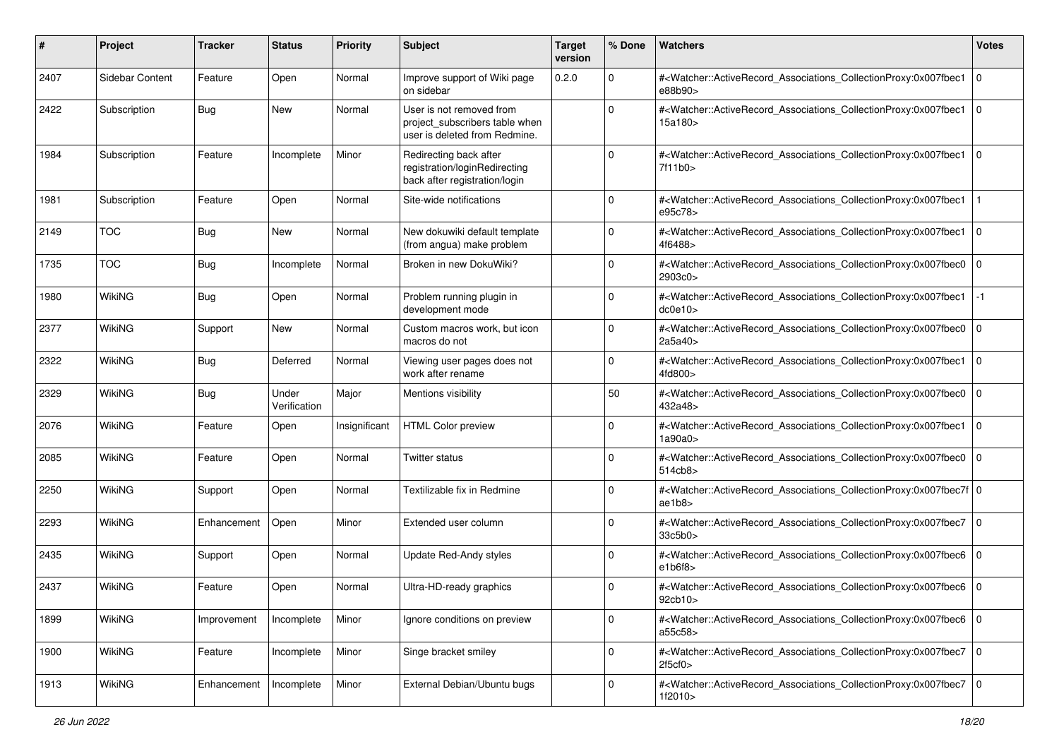| ∦    | Project         | <b>Tracker</b> | <b>Status</b>         | <b>Priority</b> | <b>Subject</b>                                                                              | <b>Target</b><br>version | % Done      | <b>Watchers</b>                                                                                                                                          | <b>Votes</b>   |
|------|-----------------|----------------|-----------------------|-----------------|---------------------------------------------------------------------------------------------|--------------------------|-------------|----------------------------------------------------------------------------------------------------------------------------------------------------------|----------------|
| 2407 | Sidebar Content | Feature        | Open                  | Normal          | Improve support of Wiki page<br>on sidebar                                                  | 0.2.0                    | $\mathbf 0$ | # <watcher::activerecord_associations_collectionproxy:0x007fbec1<br>e88b90&gt;</watcher::activerecord_associations_collectionproxy:0x007fbec1<br>        | 10             |
| 2422 | Subscription    | Bug            | New                   | Normal          | User is not removed from<br>project subscribers table when<br>user is deleted from Redmine. |                          | 0           | # <watcher::activerecord_associations_collectionproxy:0x007fbec1<br>15a180&gt;</watcher::activerecord_associations_collectionproxy:0x007fbec1<br>        | $\overline{0}$ |
| 1984 | Subscription    | Feature        | Incomplete            | Minor           | Redirecting back after<br>registration/loginRedirecting<br>back after registration/login    |                          | 0           | # <watcher::activerecord_associations_collectionproxy:0x007fbec1<br>7f11b0</watcher::activerecord_associations_collectionproxy:0x007fbec1<br>            | $\overline{0}$ |
| 1981 | Subscription    | Feature        | Open                  | Normal          | Site-wide notifications                                                                     |                          | $\mathbf 0$ | # <watcher::activerecord_associations_collectionproxy:0x007fbec1<br>e95c78&gt;</watcher::activerecord_associations_collectionproxy:0x007fbec1<br>        |                |
| 2149 | <b>TOC</b>      | Bug            | New                   | Normal          | New dokuwiki default template<br>(from angua) make problem                                  |                          | 0           | # <watcher::activerecord_associations_collectionproxy:0x007fbec1<br>4f6488&gt;</watcher::activerecord_associations_collectionproxy:0x007fbec1<br>        | $\overline{0}$ |
| 1735 | <b>TOC</b>      | Bug            | Incomplete            | Normal          | Broken in new DokuWiki?                                                                     |                          | 0           | # <watcher::activerecord_associations_collectionproxy:0x007fbec0<br>2903c0&gt;</watcher::activerecord_associations_collectionproxy:0x007fbec0<br>        | $\overline{0}$ |
| 1980 | <b>WikiNG</b>   | Bug            | Open                  | Normal          | Problem running plugin in<br>development mode                                               |                          | 0           | # <watcher::activerecord_associations_collectionproxy:0x007fbec1<br>dc0e10&gt;</watcher::activerecord_associations_collectionproxy:0x007fbec1<br>        | $-1$           |
| 2377 | WikiNG          | Support        | New                   | Normal          | Custom macros work, but icon<br>macros do not                                               |                          | 0           | # <watcher::activerecord_associations_collectionproxy:0x007fbec0<br>2a5a40&gt;</watcher::activerecord_associations_collectionproxy:0x007fbec0<br>        | $\overline{0}$ |
| 2322 | WikiNG          | Bug            | Deferred              | Normal          | Viewing user pages does not<br>work after rename                                            |                          | 0           | # <watcher::activerecord_associations_collectionproxy:0x007fbec1<br>4fd800&gt;</watcher::activerecord_associations_collectionproxy:0x007fbec1<br>        | l o            |
| 2329 | <b>WikiNG</b>   | Bug            | Under<br>Verification | Major           | Mentions visibility                                                                         |                          | 50          | # <watcher::activerecord_associations_collectionproxy:0x007fbec0<br>432a48&gt;</watcher::activerecord_associations_collectionproxy:0x007fbec0<br>        | $\overline{0}$ |
| 2076 | WikiNG          | Feature        | Open                  | Insignificant   | <b>HTML Color preview</b>                                                                   |                          | $\mathbf 0$ | # <watcher::activerecord_associations_collectionproxy:0x007fbec1<br>1a90a0&gt;</watcher::activerecord_associations_collectionproxy:0x007fbec1<br>        | $\overline{0}$ |
| 2085 | WikiNG          | Feature        | Open                  | Normal          | Twitter status                                                                              |                          | 0           | # <watcher::activerecord_associations_collectionproxy:0x007fbec0<br>514cb8&gt;</watcher::activerecord_associations_collectionproxy:0x007fbec0<br>        | $\overline{0}$ |
| 2250 | <b>WikiNG</b>   | Support        | Open                  | Normal          | Textilizable fix in Redmine                                                                 |                          | 0           | # <watcher::activerecord_associations_collectionproxy:0x007fbec7f 0<br=""  ="">ae1b8</watcher::activerecord_associations_collectionproxy:0x007fbec7f>    |                |
| 2293 | <b>WikiNG</b>   | Enhancement    | Open                  | Minor           | Extended user column                                                                        |                          | 0           | # <watcher::activerecord_associations_collectionproxy:0x007fbec7<br>33c5b0&gt;</watcher::activerecord_associations_collectionproxy:0x007fbec7<br>        | $\overline{0}$ |
| 2435 | WikiNG          | Support        | Open                  | Normal          | Update Red-Andy styles                                                                      |                          | 0           | # <watcher::activerecord_associations_collectionproxy:0x007fbec6 0<br="">e1b6f8</watcher::activerecord_associations_collectionproxy:0x007fbec6>          |                |
| 2437 | WikiNG          | Feature        | Open                  | Normal          | Ultra-HD-ready graphics                                                                     |                          | 0           | # <watcher::activerecord_associations_collectionproxy:0x007fbec6 0<br=""  ="">92cb10&gt;</watcher::activerecord_associations_collectionproxy:0x007fbec6> |                |
| 1899 | WikiNG          | Improvement    | Incomplete            | Minor           | Ignore conditions on preview                                                                |                          | $\mathbf 0$ | # <watcher::activerecord_associations_collectionproxy:0x007fbec6 0<br=""  ="">a55c58&gt;</watcher::activerecord_associations_collectionproxy:0x007fbec6> |                |
| 1900 | WikiNG          | Feature        | Incomplete            | Minor           | Singe bracket smiley                                                                        |                          | $\mathbf 0$ | # <watcher::activerecord_associations_collectionproxy:0x007fbec7 0<br=""  ="">2f5cf0</watcher::activerecord_associations_collectionproxy:0x007fbec7>     |                |
| 1913 | WikiNG          | Enhancement    | Incomplete            | Minor           | External Debian/Ubuntu bugs                                                                 |                          | 0           | # <watcher::activerecord_associations_collectionproxy:0x007fbec7 0<br=""  ="">1f2010&gt;</watcher::activerecord_associations_collectionproxy:0x007fbec7> |                |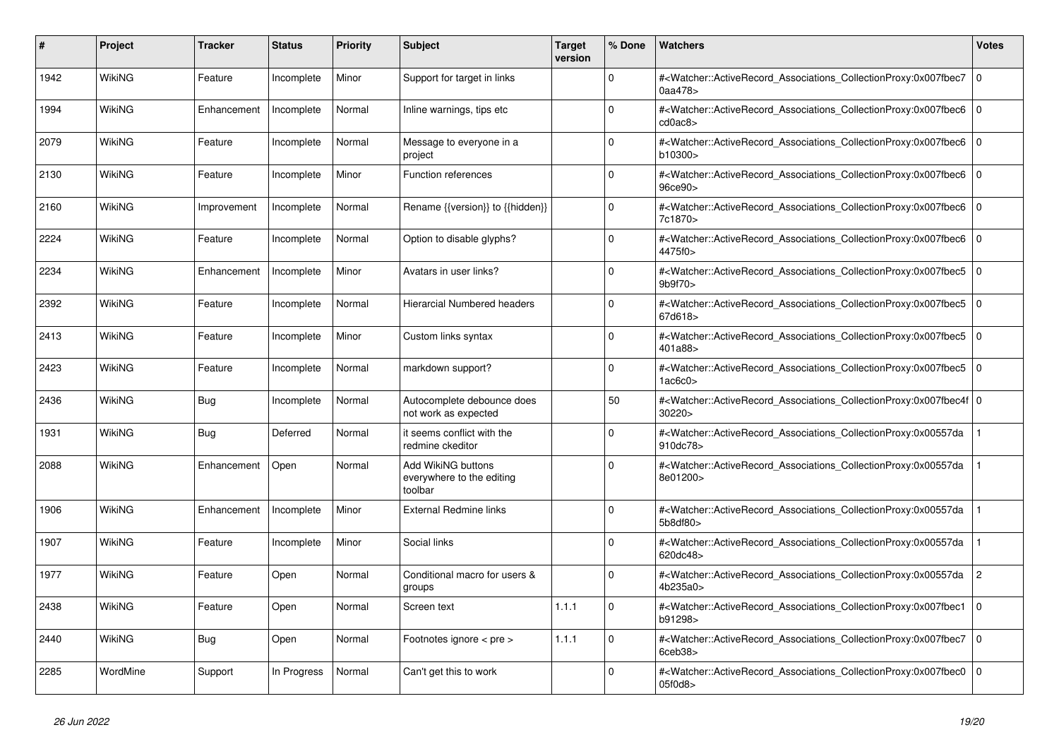| #    | <b>Project</b> | Tracker     | <b>Status</b> | <b>Priority</b> | <b>Subject</b>                                             | <b>Target</b><br>version | % Done   | <b>Watchers</b>                                                                                                                                          | <b>Votes</b> |
|------|----------------|-------------|---------------|-----------------|------------------------------------------------------------|--------------------------|----------|----------------------------------------------------------------------------------------------------------------------------------------------------------|--------------|
| 1942 | WikiNG         | Feature     | Incomplete    | Minor           | Support for target in links                                |                          | $\Omega$ | # <watcher::activerecord_associations_collectionproxy:0x007fbec7<br>0aa478&gt;</watcher::activerecord_associations_collectionproxy:0x007fbec7<br>        | $\mathbf 0$  |
| 1994 | WikiNG         | Enhancement | Incomplete    | Normal          | Inline warnings, tips etc                                  |                          | $\Omega$ | # <watcher::activerecord associations="" collectionproxy:0x007fbec6<br="">cd0ac8</watcher::activerecord>                                                 | $\Omega$     |
| 2079 | WikiNG         | Feature     | Incomplete    | Normal          | Message to everyone in a<br>project                        |                          | $\Omega$ | # <watcher::activerecord_associations_collectionproxy:0x007fbec6 0<br=""  ="">b10300&gt;</watcher::activerecord_associations_collectionproxy:0x007fbec6> |              |
| 2130 | WikiNG         | Feature     | Incomplete    | Minor           | <b>Function references</b>                                 |                          | $\Omega$ | # <watcher::activerecord associations="" collectionproxy:0x007fbec6<br="">96ce90&gt;</watcher::activerecord>                                             | $\mathbf 0$  |
| 2160 | WikiNG         | Improvement | Incomplete    | Normal          | Rename {{version}} to {{hidden}}                           |                          | $\Omega$ | # <watcher::activerecord associations="" collectionproxy:0x007fbec6<br="">7c1870&gt;</watcher::activerecord>                                             | $\Omega$     |
| 2224 | WikiNG         | Feature     | Incomplete    | Normal          | Option to disable glyphs?                                  |                          | $\Omega$ | # <watcher::activerecord 0<br="" associations="" collectionproxy:0x007fbec6=""  ="">4475f0&gt;</watcher::activerecord>                                   |              |
| 2234 | WikiNG         | Enhancement | Incomplete    | Minor           | Avatars in user links?                                     |                          | $\Omega$ | # <watcher::activerecord associations="" collectionproxy:0x007fbec5<br="">9b9f70&gt;</watcher::activerecord>                                             | $\mathbf 0$  |
| 2392 | WikiNG         | Feature     | Incomplete    | Normal          | Hierarcial Numbered headers                                |                          | $\Omega$ | # <watcher::activerecord_associations_collectionproxy:0x007fbec5<br>67d618&gt;</watcher::activerecord_associations_collectionproxy:0x007fbec5<br>        | $\Omega$     |
| 2413 | <b>WikiNG</b>  | Feature     | Incomplete    | Minor           | Custom links syntax                                        |                          | $\Omega$ | # <watcher::activerecord_associations_collectionproxy:0x007fbec5 0<br=""  ="">401a88&gt;</watcher::activerecord_associations_collectionproxy:0x007fbec5> |              |
| 2423 | <b>WikiNG</b>  | Feature     | Incomplete    | Normal          | markdown support?                                          |                          | $\Omega$ | # <watcher::activerecord associations="" collectionproxy:0x007fbec5<br="">1a<sub>6c0</sub></watcher::activerecord>                                       | $\mathbf 0$  |
| 2436 | WikiNG         | <b>Bug</b>  | Incomplete    | Normal          | Autocomplete debounce does<br>not work as expected         |                          | 50       | # <watcher::activerecord_associations_collectionproxy:0x007fbec4f 0<br=""  ="">30220</watcher::activerecord_associations_collectionproxy:0x007fbec4f>    |              |
| 1931 | WikiNG         | Bug         | Deferred      | Normal          | it seems conflict with the<br>redmine ckeditor             |                          | $\Omega$ | # <watcher::activerecord associations="" collectionproxy:0x00557da<br="">910dc78&gt;</watcher::activerecord>                                             |              |
| 2088 | WikiNG         | Enhancement | Open          | Normal          | Add WikiNG buttons<br>everywhere to the editing<br>toolbar |                          | $\Omega$ | # <watcher::activerecord associations="" collectionproxy:0x00557da<br="">8e01200&gt;</watcher::activerecord>                                             |              |
| 1906 | WikiNG         | Enhancement | Incomplete    | Minor           | <b>External Redmine links</b>                              |                          | $\Omega$ | # <watcher::activerecord associations="" collectionproxy:0x00557da<br="">5b8df80&gt;</watcher::activerecord>                                             |              |
| 1907 | <b>WikiNG</b>  | Feature     | Incomplete    | Minor           | Social links                                               |                          | $\Omega$ | # <watcher::activerecord associations="" collectionproxy:0x00557da<br="">620dc48&gt;</watcher::activerecord>                                             |              |
| 1977 | WikiNG         | Feature     | Open          | Normal          | Conditional macro for users &<br>groups                    |                          | $\Omega$ | # <watcher::activerecord_associations_collectionproxy:0x00557da<br>4b235a0&gt;</watcher::activerecord_associations_collectionproxy:0x00557da<br>         | 2            |
| 2438 | WikiNG         | Feature     | Open          | Normal          | Screen text                                                | 1.1.1                    | $\Omega$ | # <watcher::activerecord associations="" collectionproxy:0x007fbec1<br="">b91298&gt;</watcher::activerecord>                                             | $\mathbf 0$  |
| 2440 | <b>WikiNG</b>  | Bug         | Open          | Normal          | Footnotes ignore < pre >                                   | 1.1.1                    | $\Omega$ | # <watcher::activerecord_associations_collectionproxy:0x007fbec7<br>6ceb38&gt;</watcher::activerecord_associations_collectionproxy:0x007fbec7<br>        | $\mathbf 0$  |
| 2285 | WordMine       | Support     | In Progress   | Normal          | Can't get this to work                                     |                          | $\Omega$ | # <watcher::activerecord_associations_collectionproxy:0x007fbec0<br>05f0d8&gt;</watcher::activerecord_associations_collectionproxy:0x007fbec0<br>        | $\Omega$     |